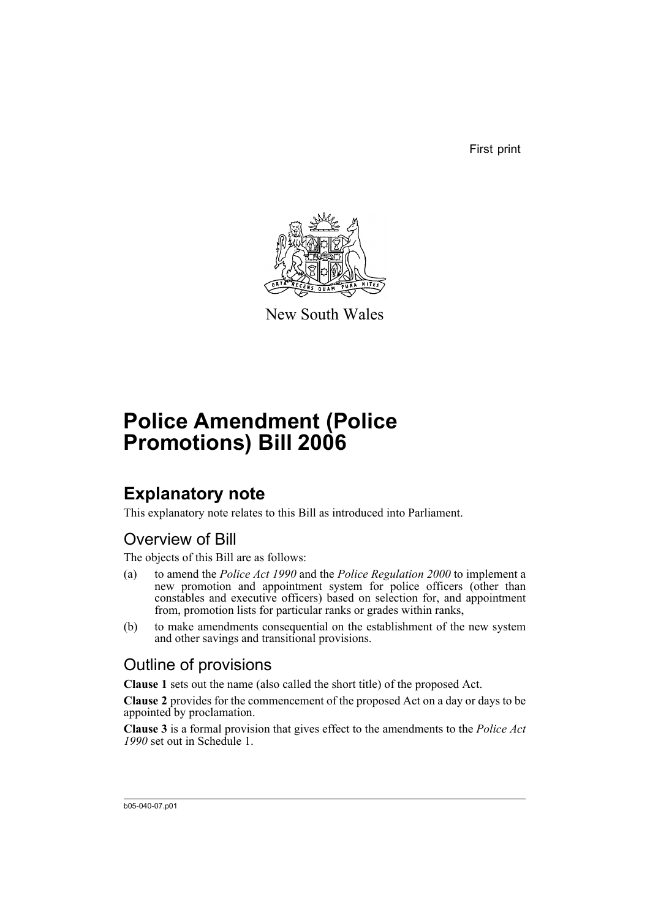First print



New South Wales

# **Police Amendment (Police Promotions) Bill 2006**

# **Explanatory note**

This explanatory note relates to this Bill as introduced into Parliament.

# Overview of Bill

The objects of this Bill are as follows:

- (a) to amend the *Police Act 1990* and the *Police Regulation 2000* to implement a new promotion and appointment system for police officers (other than constables and executive officers) based on selection for, and appointment from, promotion lists for particular ranks or grades within ranks,
- (b) to make amendments consequential on the establishment of the new system and other savings and transitional provisions.

# Outline of provisions

**Clause 1** sets out the name (also called the short title) of the proposed Act.

**Clause 2** provides for the commencement of the proposed Act on a day or days to be appointed by proclamation.

**Clause 3** is a formal provision that gives effect to the amendments to the *Police Act 1990* set out in Schedule 1.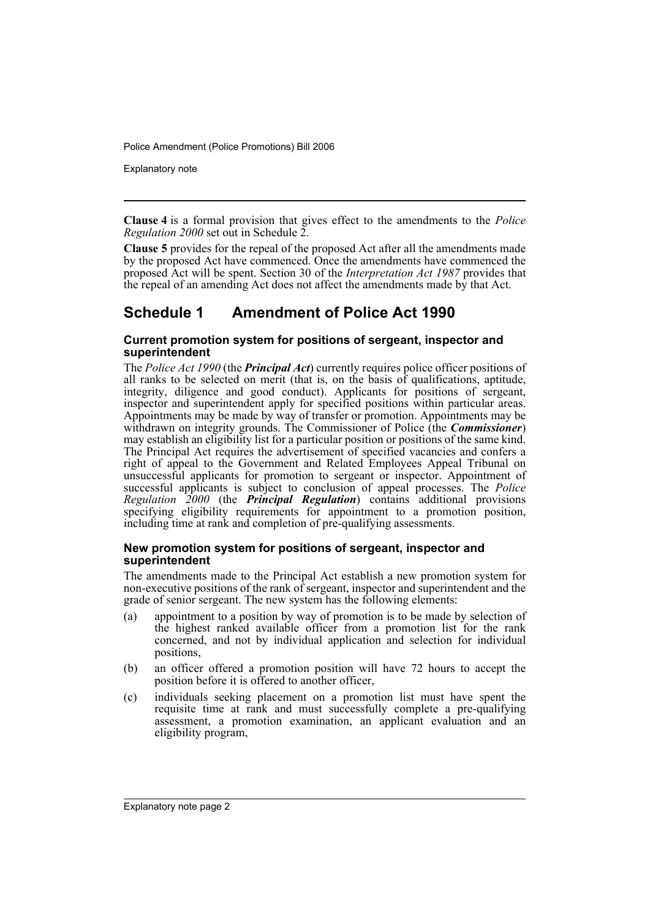Explanatory note

**Clause 4** is a formal provision that gives effect to the amendments to the *Police Regulation 2000* set out in Schedule 2.

**Clause 5** provides for the repeal of the proposed Act after all the amendments made by the proposed Act have commenced. Once the amendments have commenced the proposed Act will be spent. Section 30 of the *Interpretation Act 1987* provides that the repeal of an amending Act does not affect the amendments made by that Act.

## **Schedule 1 Amendment of Police Act 1990**

#### **Current promotion system for positions of sergeant, inspector and superintendent**

The *Police Act 1990* (the *Principal Act*) currently requires police officer positions of all ranks to be selected on merit (that is, on the basis of qualifications, aptitude, integrity, diligence and good conduct). Applicants for positions of sergeant, inspector and superintendent apply for specified positions within particular areas. Appointments may be made by way of transfer or promotion. Appointments may be withdrawn on integrity grounds. The Commissioner of Police (the *Commissioner*) may establish an eligibility list for a particular position or positions of the same kind. The Principal Act requires the advertisement of specified vacancies and confers a right of appeal to the Government and Related Employees Appeal Tribunal on unsuccessful applicants for promotion to sergeant or inspector. Appointment of successful applicants is subject to conclusion of appeal processes. The *Police Regulation 2000* (the *Principal Regulation*) contains additional provisions specifying eligibility requirements for appointment to a promotion position, including time at rank and completion of pre-qualifying assessments.

#### **New promotion system for positions of sergeant, inspector and superintendent**

The amendments made to the Principal Act establish a new promotion system for non-executive positions of the rank of sergeant, inspector and superintendent and the grade of senior sergeant. The new system has the following elements:

- (a) appointment to a position by way of promotion is to be made by selection of the highest ranked available officer from a promotion list for the rank concerned, and not by individual application and selection for individual positions,
- (b) an officer offered a promotion position will have 72 hours to accept the position before it is offered to another officer,
- (c) individuals seeking placement on a promotion list must have spent the requisite time at rank and must successfully complete a pre-qualifying assessment, a promotion examination, an applicant evaluation and an eligibility program,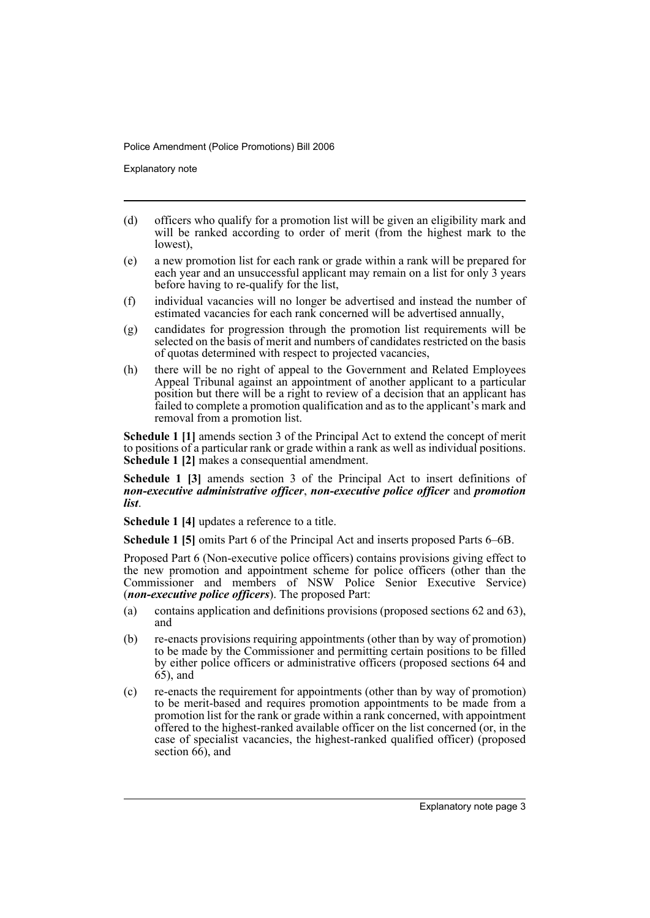Explanatory note

- (d) officers who qualify for a promotion list will be given an eligibility mark and will be ranked according to order of merit (from the highest mark to the lowest),
- (e) a new promotion list for each rank or grade within a rank will be prepared for each year and an unsuccessful applicant may remain on a list for only 3 years before having to re-qualify for the list,
- (f) individual vacancies will no longer be advertised and instead the number of estimated vacancies for each rank concerned will be advertised annually,
- (g) candidates for progression through the promotion list requirements will be selected on the basis of merit and numbers of candidates restricted on the basis of quotas determined with respect to projected vacancies,
- (h) there will be no right of appeal to the Government and Related Employees Appeal Tribunal against an appointment of another applicant to a particular position but there will be a right to review of a decision that an applicant has failed to complete a promotion qualification and as to the applicant's mark and removal from a promotion list.

**Schedule 1 [1]** amends section 3 of the Principal Act to extend the concept of merit to positions of a particular rank or grade within a rank as well as individual positions. **Schedule 1 [2]** makes a consequential amendment.

**Schedule 1 [3]** amends section 3 of the Principal Act to insert definitions of *non-executive administrative officer*, *non-executive police officer* and *promotion list*.

**Schedule 1 [4]** updates a reference to a title.

**Schedule 1 [5]** omits Part 6 of the Principal Act and inserts proposed Parts 6–6B.

Proposed Part 6 (Non-executive police officers) contains provisions giving effect to the new promotion and appointment scheme for police officers (other than the Commissioner and members of NSW Police Senior Executive Service) (*non-executive police officers*). The proposed Part:

- (a) contains application and definitions provisions (proposed sections 62 and 63), and
- (b) re-enacts provisions requiring appointments (other than by way of promotion) to be made by the Commissioner and permitting certain positions to be filled by either police officers or administrative officers (proposed sections 64 and 65), and
- (c) re-enacts the requirement for appointments (other than by way of promotion) to be merit-based and requires promotion appointments to be made from a promotion list for the rank or grade within a rank concerned, with appointment offered to the highest-ranked available officer on the list concerned (or, in the case of specialist vacancies, the highest-ranked qualified officer) (proposed section  $66$ ), and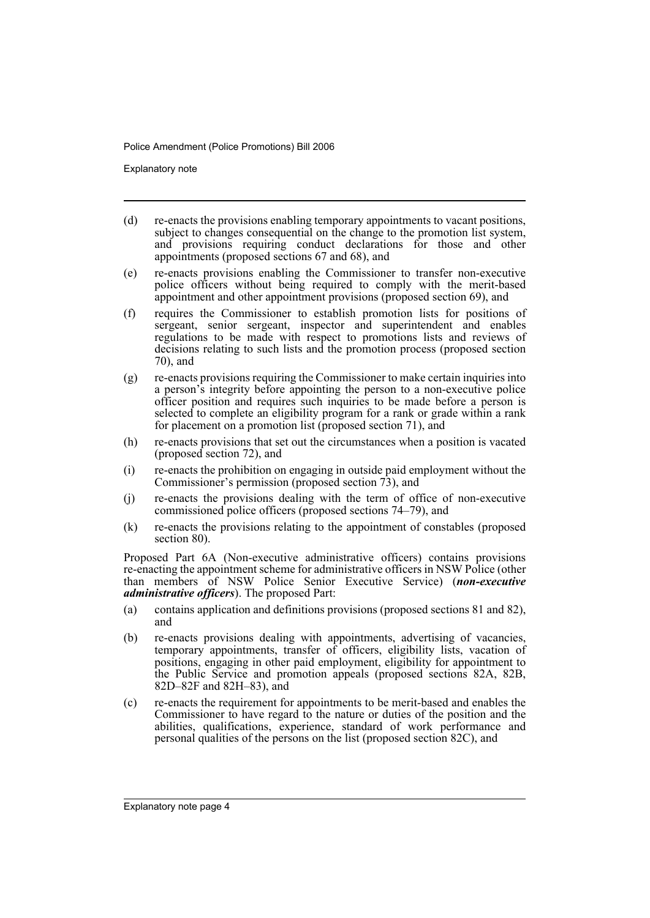Explanatory note

- (d) re-enacts the provisions enabling temporary appointments to vacant positions, subject to changes consequential on the change to the promotion list system, and provisions requiring conduct declarations for those and other appointments (proposed sections 67 and 68), and
- (e) re-enacts provisions enabling the Commissioner to transfer non-executive police officers without being required to comply with the merit-based appointment and other appointment provisions (proposed section 69), and
- (f) requires the Commissioner to establish promotion lists for positions of sergeant, senior sergeant, inspector and superintendent and enables regulations to be made with respect to promotions lists and reviews of decisions relating to such lists and the promotion process (proposed section 70), and
- (g) re-enacts provisions requiring the Commissioner to make certain inquiries into a person's integrity before appointing the person to a non-executive police officer position and requires such inquiries to be made before a person is selected to complete an eligibility program for a rank or grade within a rank for placement on a promotion list (proposed section 71), and
- (h) re-enacts provisions that set out the circumstances when a position is vacated (proposed section 72), and
- (i) re-enacts the prohibition on engaging in outside paid employment without the Commissioner's permission (proposed section 73), and
- (j) re-enacts the provisions dealing with the term of office of non-executive commissioned police officers (proposed sections 74–79), and
- (k) re-enacts the provisions relating to the appointment of constables (proposed section 80).

Proposed Part 6A (Non-executive administrative officers) contains provisions re-enacting the appointment scheme for administrative officers in NSW Police (other than members of NSW Police Senior Executive Service) (*non-executive administrative officers*). The proposed Part:

- (a) contains application and definitions provisions (proposed sections 81 and 82), and
- (b) re-enacts provisions dealing with appointments, advertising of vacancies, temporary appointments, transfer of officers, eligibility lists, vacation of positions, engaging in other paid employment, eligibility for appointment to the Public Service and promotion appeals (proposed sections 82A, 82B, 82D–82F and 82H–83), and
- (c) re-enacts the requirement for appointments to be merit-based and enables the Commissioner to have regard to the nature or duties of the position and the abilities, qualifications, experience, standard of work performance and personal qualities of the persons on the list (proposed section 82C), and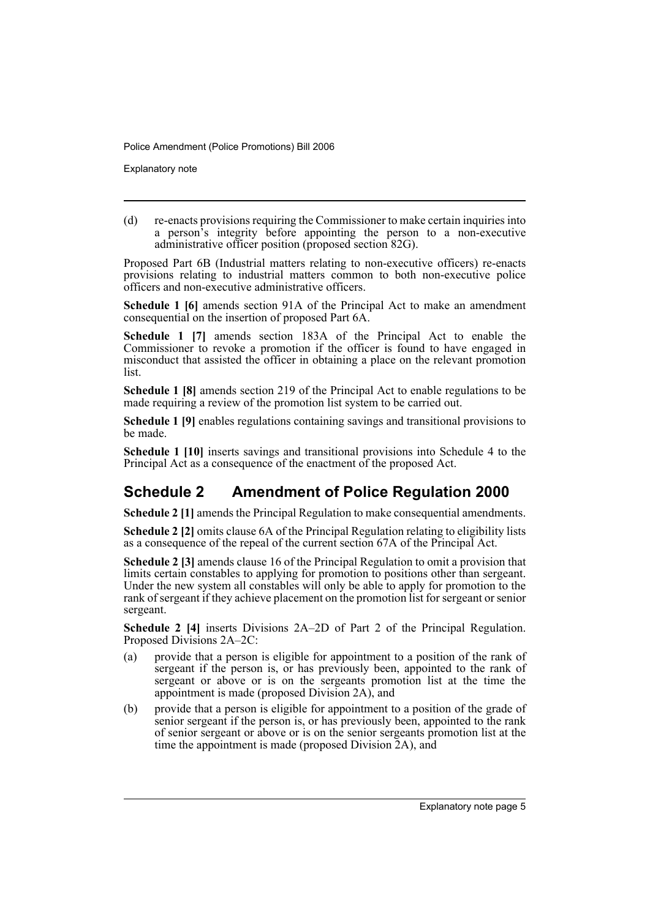Explanatory note

(d) re-enacts provisions requiring the Commissioner to make certain inquiries into a person's integrity before appointing the person to a non-executive administrative officer position (proposed section 82G).

Proposed Part 6B (Industrial matters relating to non-executive officers) re-enacts provisions relating to industrial matters common to both non-executive police officers and non-executive administrative officers.

**Schedule 1 [6]** amends section 91A of the Principal Act to make an amendment consequential on the insertion of proposed Part 6A.

**Schedule 1 [7]** amends section 183A of the Principal Act to enable the Commissioner to revoke a promotion if the officer is found to have engaged in misconduct that assisted the officer in obtaining a place on the relevant promotion list.

**Schedule 1 [8]** amends section 219 of the Principal Act to enable regulations to be made requiring a review of the promotion list system to be carried out.

**Schedule 1 [9]** enables regulations containing savings and transitional provisions to be made.

**Schedule 1 [10]** inserts savings and transitional provisions into Schedule 4 to the Principal Act as a consequence of the enactment of the proposed Act.

# **Schedule 2 Amendment of Police Regulation 2000**

**Schedule 2 [1]** amends the Principal Regulation to make consequential amendments.

**Schedule 2 [2]** omits clause 6A of the Principal Regulation relating to eligibility lists as a consequence of the repeal of the current section 67A of the Principal Act.

**Schedule 2 [3]** amends clause 16 of the Principal Regulation to omit a provision that limits certain constables to applying for promotion to positions other than sergeant. Under the new system all constables will only be able to apply for promotion to the rank of sergeant if they achieve placement on the promotion list for sergeant or senior sergeant.

**Schedule 2 [4]** inserts Divisions 2A–2D of Part 2 of the Principal Regulation. Proposed Divisions 2A–2C:

- (a) provide that a person is eligible for appointment to a position of the rank of sergeant if the person is, or has previously been, appointed to the rank of sergeant or above or is on the sergeants promotion list at the time the appointment is made (proposed Division 2A), and
- (b) provide that a person is eligible for appointment to a position of the grade of senior sergeant if the person is, or has previously been, appointed to the rank of senior sergeant or above or is on the senior sergeants promotion list at the time the appointment is made (proposed Division 2A), and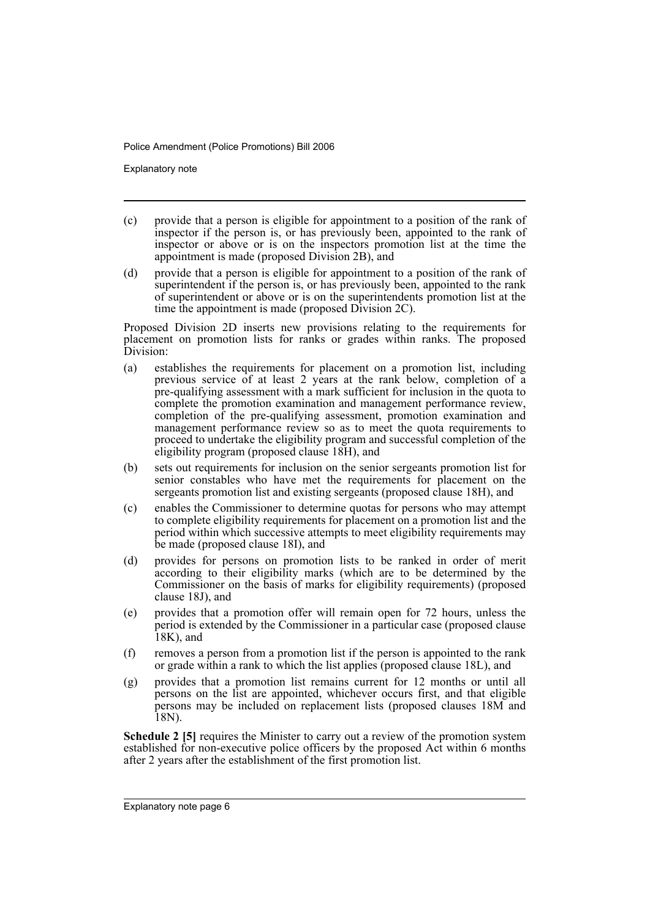Explanatory note

- (c) provide that a person is eligible for appointment to a position of the rank of inspector if the person is, or has previously been, appointed to the rank of inspector or above or is on the inspectors promotion list at the time the appointment is made (proposed Division 2B), and
- (d) provide that a person is eligible for appointment to a position of the rank of superintendent if the person is, or has previously been, appointed to the rank of superintendent or above or is on the superintendents promotion list at the time the appointment is made (proposed Division 2C).

Proposed Division 2D inserts new provisions relating to the requirements for placement on promotion lists for ranks or grades within ranks. The proposed Division:

- (a) establishes the requirements for placement on a promotion list, including previous service of at least 2 years at the rank below, completion of a pre-qualifying assessment with a mark sufficient for inclusion in the quota to complete the promotion examination and management performance review, completion of the pre-qualifying assessment, promotion examination and management performance review so as to meet the quota requirements to proceed to undertake the eligibility program and successful completion of the eligibility program (proposed clause 18H), and
- (b) sets out requirements for inclusion on the senior sergeants promotion list for senior constables who have met the requirements for placement on the sergeants promotion list and existing sergeants (proposed clause 18H), and
- (c) enables the Commissioner to determine quotas for persons who may attempt to complete eligibility requirements for placement on a promotion list and the period within which successive attempts to meet eligibility requirements may be made (proposed clause 18I), and
- (d) provides for persons on promotion lists to be ranked in order of merit according to their eligibility marks (which are to be determined by the Commissioner on the basis of marks for eligibility requirements) (proposed clause 18J), and
- (e) provides that a promotion offer will remain open for 72 hours, unless the period is extended by the Commissioner in a particular case (proposed clause 18K), and
- (f) removes a person from a promotion list if the person is appointed to the rank or grade within a rank to which the list applies (proposed clause 18L), and
- (g) provides that a promotion list remains current for 12 months or until all persons on the list are appointed, whichever occurs first, and that eligible persons may be included on replacement lists (proposed clauses 18M and 18N).

**Schedule 2 [5]** requires the Minister to carry out a review of the promotion system established for non-executive police officers by the proposed Act within 6 months after 2 years after the establishment of the first promotion list.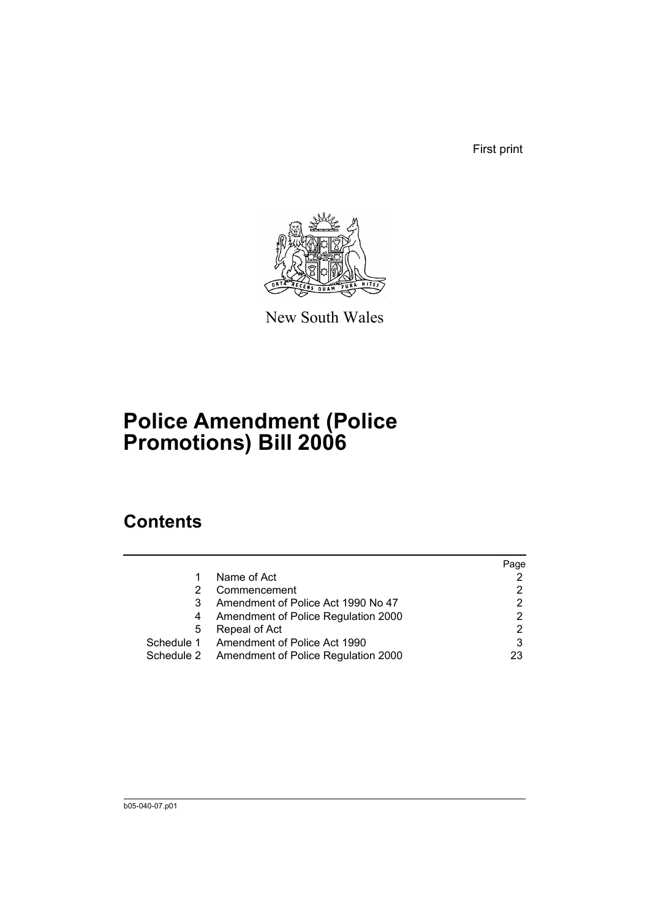First print



New South Wales

# **Police Amendment (Police Promotions) Bill 2006**

# **Contents**

|   |                                                | Page |
|---|------------------------------------------------|------|
|   | Name of Act                                    |      |
|   | Commencement                                   |      |
| 3 | Amendment of Police Act 1990 No 47             |      |
| 4 | Amendment of Police Regulation 2000            |      |
| 5 | Repeal of Act                                  | 2    |
|   | Schedule 1 Amendment of Police Act 1990        | 3    |
|   | Schedule 2 Amendment of Police Regulation 2000 | 23   |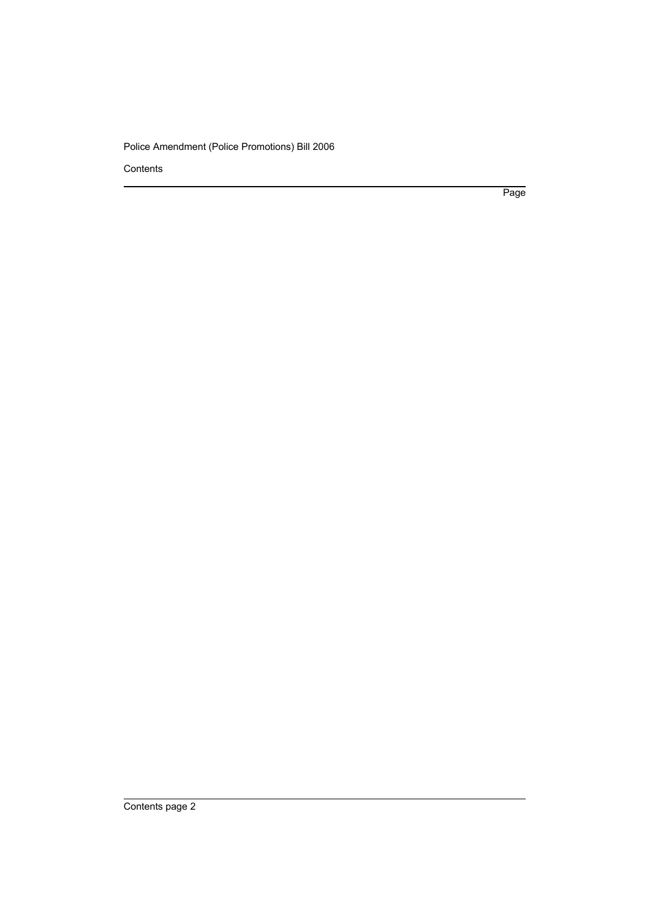Contents

Page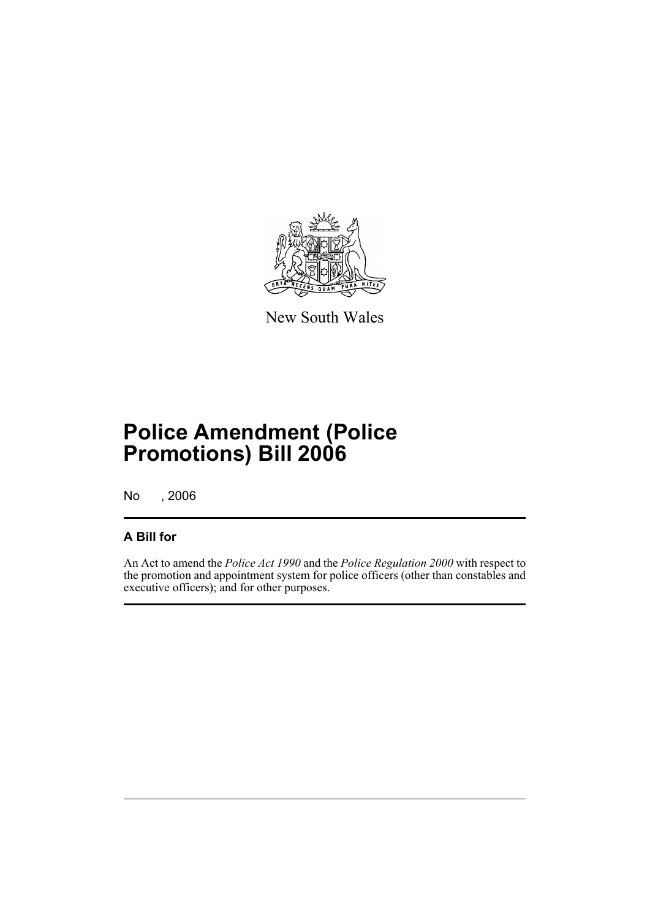

New South Wales

# **Police Amendment (Police Promotions) Bill 2006**

No , 2006

### **A Bill for**

An Act to amend the *Police Act 1990* and the *Police Regulation 2000* with respect to the promotion and appointment system for police officers (other than constables and executive officers); and for other purposes.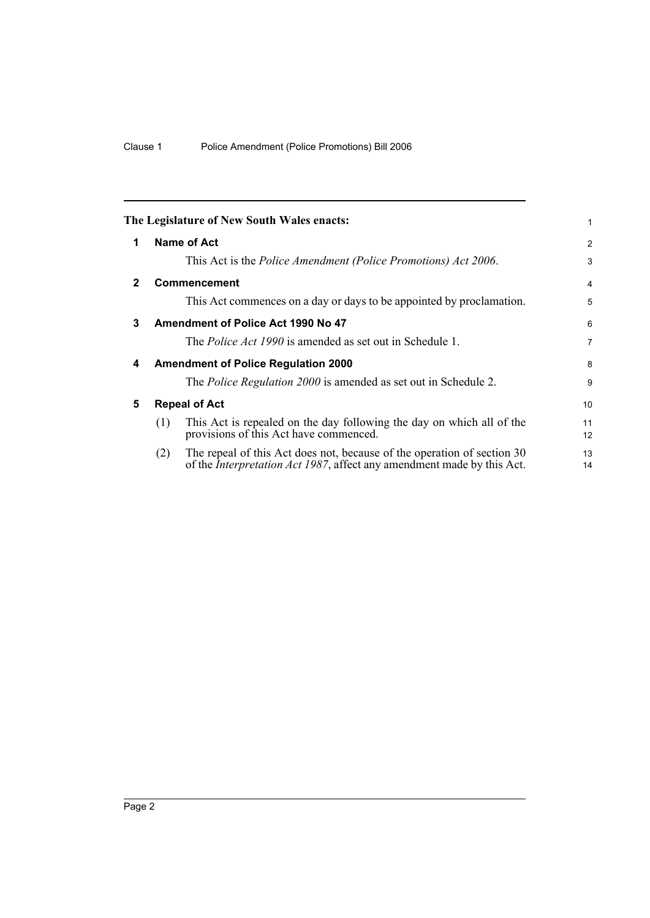<span id="page-9-4"></span><span id="page-9-3"></span><span id="page-9-2"></span><span id="page-9-1"></span><span id="page-9-0"></span>

| The Legislature of New South Wales enacts:                                                                                                                       | 1               |
|------------------------------------------------------------------------------------------------------------------------------------------------------------------|-----------------|
| Name of Act                                                                                                                                                      | 2               |
| This Act is the <i>Police Amendment (Police Promotions) Act 2006</i> .                                                                                           | 3               |
| <b>Commencement</b>                                                                                                                                              | 4               |
| This Act commences on a day or days to be appointed by proclamation.                                                                                             | 5               |
| <b>Amendment of Police Act 1990 No 47</b>                                                                                                                        | 6               |
| The <i>Police Act 1990</i> is amended as set out in Schedule 1.                                                                                                  | 7               |
| <b>Amendment of Police Regulation 2000</b>                                                                                                                       | 8               |
| The <i>Police Regulation 2000</i> is amended as set out in Schedule 2.                                                                                           | 9               |
| <b>Repeal of Act</b>                                                                                                                                             | 10 <sup>1</sup> |
| This Act is repealed on the day following the day on which all of the<br>(1)<br>provisions of this Act have commenced.                                           | 11<br>12        |
| The repeal of this Act does not, because of the operation of section 30<br>(2)<br>of the <i>Interpretation Act 1987</i> , affect any amendment made by this Act. | 13<br>14        |
|                                                                                                                                                                  |                 |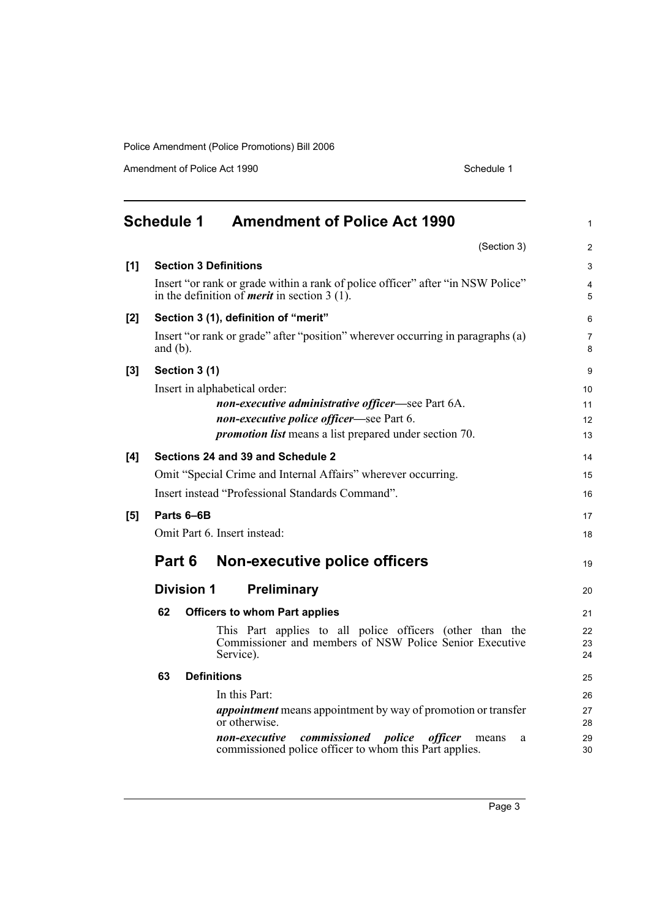Amendment of Police Act 1990 Schedule 1

<span id="page-10-0"></span>

|       | <b>Schedule 1</b>                                | <b>Amendment of Police Act 1990</b>                                                                                                    | 1                       |  |  |
|-------|--------------------------------------------------|----------------------------------------------------------------------------------------------------------------------------------------|-------------------------|--|--|
|       |                                                  | (Section 3)                                                                                                                            | $\overline{\mathbf{c}}$ |  |  |
| [1]   |                                                  | <b>Section 3 Definitions</b>                                                                                                           | 3                       |  |  |
|       |                                                  | Insert "or rank or grade within a rank of police officer" after "in NSW Police"<br>in the definition of <i>merit</i> in section 3 (1). | 4<br>5                  |  |  |
| [2]   |                                                  | Section 3 (1), definition of "merit"                                                                                                   | 6                       |  |  |
|       | and $(b)$ .                                      | Insert "or rank or grade" after "position" wherever occurring in paragraphs (a)                                                        | 7<br>8                  |  |  |
| $[3]$ | Section 3 (1)                                    |                                                                                                                                        | 9                       |  |  |
|       |                                                  | Insert in alphabetical order:                                                                                                          | 10                      |  |  |
|       |                                                  | non-executive administrative officer—see Part 6A.                                                                                      | 11                      |  |  |
|       |                                                  | non-executive police officer—see Part 6.                                                                                               | 12                      |  |  |
|       |                                                  | <i>promotion list</i> means a list prepared under section 70.                                                                          | 13                      |  |  |
| [4]   |                                                  | Sections 24 and 39 and Schedule 2                                                                                                      | 14                      |  |  |
|       |                                                  | Omit "Special Crime and Internal Affairs" wherever occurring.                                                                          | 15                      |  |  |
|       | Insert instead "Professional Standards Command". |                                                                                                                                        |                         |  |  |
| [5]   | Parts 6-6B                                       |                                                                                                                                        | 17                      |  |  |
|       |                                                  | Omit Part 6. Insert instead:                                                                                                           | 18                      |  |  |
|       | Part 6                                           | Non-executive police officers                                                                                                          | 19                      |  |  |
|       | <b>Division 1</b>                                | <b>Preliminary</b>                                                                                                                     | 20                      |  |  |
|       | 62                                               | <b>Officers to whom Part applies</b>                                                                                                   | 21                      |  |  |
|       |                                                  | This Part applies to all police officers (other than the<br>Commissioner and members of NSW Police Senior Executive<br>Service).       | 22<br>23<br>24          |  |  |
|       | 63                                               | <b>Definitions</b>                                                                                                                     | 25                      |  |  |
|       |                                                  | In this Part:                                                                                                                          | 26                      |  |  |
|       |                                                  | <i>appointment</i> means appointment by way of promotion or transfer<br>or otherwise.                                                  | 27<br>28                |  |  |
|       |                                                  | commissioned police<br>non-executive<br><i>officer</i><br>means<br>a<br>commissioned police officer to whom this Part applies.         | 29<br>30                |  |  |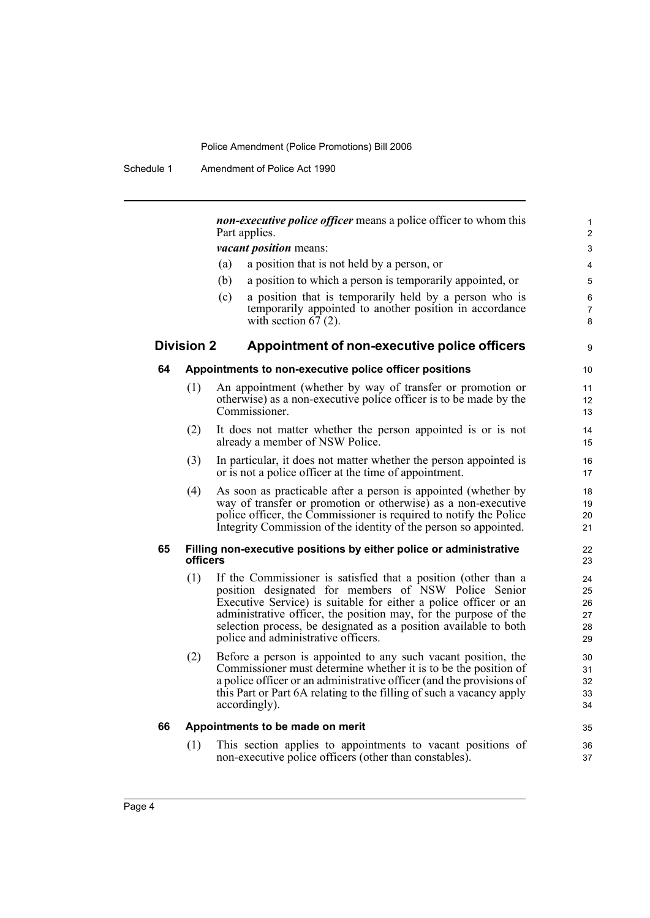Schedule 1 Amendment of Police Act 1990

|    |                   | <b>non-executive police officer</b> means a police officer to whom this<br>Part applies.                                                                                                                                                                                                                                                                                  | 1<br>2                           |
|----|-------------------|---------------------------------------------------------------------------------------------------------------------------------------------------------------------------------------------------------------------------------------------------------------------------------------------------------------------------------------------------------------------------|----------------------------------|
|    |                   | <i>vacant position</i> means:                                                                                                                                                                                                                                                                                                                                             | 3                                |
|    |                   | a position that is not held by a person, or<br>(a)                                                                                                                                                                                                                                                                                                                        | 4                                |
|    |                   | (b)<br>a position to which a person is temporarily appointed, or                                                                                                                                                                                                                                                                                                          | 5                                |
|    |                   | a position that is temporarily held by a person who is<br>(c)                                                                                                                                                                                                                                                                                                             | 6                                |
|    |                   | temporarily appointed to another position in accordance<br>with section $67(2)$ .                                                                                                                                                                                                                                                                                         | $\overline{7}$<br>8              |
|    | <b>Division 2</b> | Appointment of non-executive police officers                                                                                                                                                                                                                                                                                                                              | 9                                |
| 64 |                   | Appointments to non-executive police officer positions                                                                                                                                                                                                                                                                                                                    | 10                               |
|    | (1)               | An appointment (whether by way of transfer or promotion or<br>otherwise) as a non-executive police officer is to be made by the<br>Commissioner.                                                                                                                                                                                                                          | 11<br>12 <sup>2</sup><br>13      |
|    | (2)               | It does not matter whether the person appointed is or is not<br>already a member of NSW Police.                                                                                                                                                                                                                                                                           | 14<br>15                         |
|    | (3)               | In particular, it does not matter whether the person appointed is<br>or is not a police officer at the time of appointment.                                                                                                                                                                                                                                               | 16<br>17                         |
|    | (4)               | As soon as practicable after a person is appointed (whether by<br>way of transfer or promotion or otherwise) as a non-executive<br>police officer, the Commissioner is required to notify the Police<br>Integrity Commission of the identity of the person so appointed.                                                                                                  | 18<br>19<br>20<br>21             |
| 65 | <b>officers</b>   | Filling non-executive positions by either police or administrative                                                                                                                                                                                                                                                                                                        | 22<br>23                         |
|    | (1)               | If the Commissioner is satisfied that a position (other than a<br>position designated for members of NSW Police Senior<br>Executive Service) is suitable for either a police officer or an<br>administrative officer, the position may, for the purpose of the<br>selection process, be designated as a position available to both<br>police and administrative officers. | 24<br>25<br>26<br>27<br>28<br>29 |
|    | (2)               | Before a person is appointed to any such vacant position, the<br>Commissioner must determine whether it is to be the position of<br>a police officer or an administrative officer (and the provisions of<br>this Part or Part 6A relating to the filling of such a vacancy apply<br>accordingly).                                                                         | 30<br>31<br>32<br>33<br>34       |
| 66 |                   | Appointments to be made on merit                                                                                                                                                                                                                                                                                                                                          | 35                               |
|    | (1)               | This section applies to appointments to vacant positions of<br>non-executive police officers (other than constables).                                                                                                                                                                                                                                                     | 36<br>37                         |
|    |                   |                                                                                                                                                                                                                                                                                                                                                                           |                                  |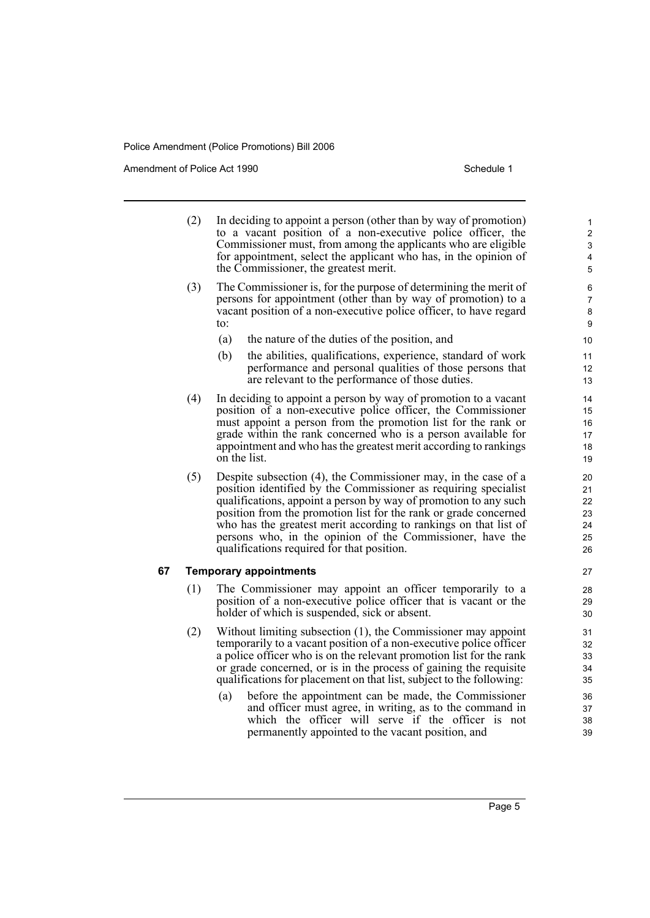Amendment of Police Act 1990 **Schedule 1** and the Schedule 1

- (2) In deciding to appoint a person (other than by way of promotion) to a vacant position of a non-executive police officer, the Commissioner must, from among the applicants who are eligible for appointment, select the applicant who has, in the opinion of the Commissioner, the greatest merit. (3) The Commissioner is, for the purpose of determining the merit of persons for appointment (other than by way of promotion) to a vacant position of a non-executive police officer, to have regard to: (a) the nature of the duties of the position, and (b) the abilities, qualifications, experience, standard of work performance and personal qualities of those persons that are relevant to the performance of those duties. (4) In deciding to appoint a person by way of promotion to a vacant position of a non-executive police officer, the Commissioner must appoint a person from the promotion list for the rank or grade within the rank concerned who is a person available for appointment and who has the greatest merit according to rankings on the list. (5) Despite subsection (4), the Commissioner may, in the case of a position identified by the Commissioner as requiring specialist qualifications, appoint a person by way of promotion to any such position from the promotion list for the rank or grade concerned who has the greatest merit according to rankings on that list of persons who, in the opinion of the Commissioner, have the qualifications required for that position. **67 Temporary appointments** (1) The Commissioner may appoint an officer temporarily to a position of a non-executive police officer that is vacant or the holder of which is suspended, sick or absent. (2) Without limiting subsection (1), the Commissioner may appoint temporarily to a vacant position of a non-executive police officer a police officer who is on the relevant promotion list for the rank or grade concerned, or is in the process of gaining the requisite qualifications for placement on that list, subject to the following: (a) before the appointment can be made, the Commissioner and officer must agree, in writing, as to the command in 10 11 12 13 14 15 16 17 18 19 20 21 22 23 24 25 26 27  $28$ 29 30 31 32 33 34 35 36 37
	- which the officer will serve if the officer is not permanently appointed to the vacant position, and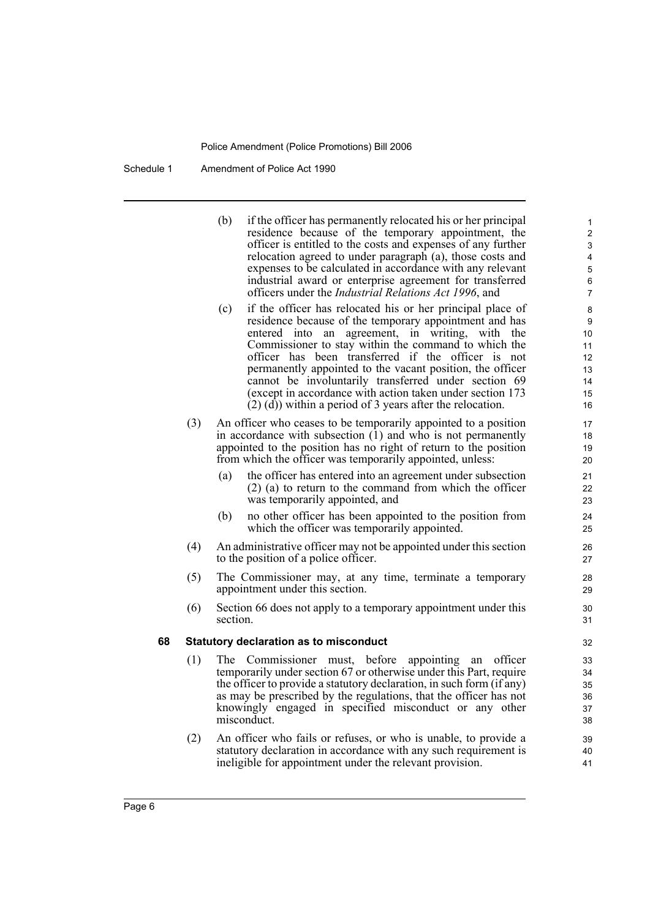Schedule 1 Amendment of Police Act 1990

|    |     | (b)      | if the officer has permanently relocated his or her principal<br>residence because of the temporary appointment, the<br>officer is entitled to the costs and expenses of any further<br>relocation agreed to under paragraph (a), those costs and<br>expenses to be calculated in accordance with any relevant<br>industrial award or enterprise agreement for transferred<br>officers under the <i>Industrial Relations Act 1996</i> , and                                                                                                | 1<br>$\overline{2}$<br>3<br>4<br>5<br>6<br>$\overline{7}$ |
|----|-----|----------|--------------------------------------------------------------------------------------------------------------------------------------------------------------------------------------------------------------------------------------------------------------------------------------------------------------------------------------------------------------------------------------------------------------------------------------------------------------------------------------------------------------------------------------------|-----------------------------------------------------------|
|    |     | (c)      | if the officer has relocated his or her principal place of<br>residence because of the temporary appointment and has<br>entered into an agreement, in writing,<br>with the<br>Commissioner to stay within the command to which the<br>officer has been transferred if the officer is not<br>permanently appointed to the vacant position, the officer<br>cannot be involuntarily transferred under section 69<br>(except in accordance with action taken under section 173)<br>$(2)$ (d)) within a period of 3 years after the relocation. | 8<br>9<br>10<br>11<br>12<br>13<br>14<br>15<br>16          |
|    | (3) |          | An officer who ceases to be temporarily appointed to a position<br>in accordance with subsection (1) and who is not permanently<br>appointed to the position has no right of return to the position<br>from which the officer was temporarily appointed, unless:                                                                                                                                                                                                                                                                           | 17<br>18<br>19<br>20                                      |
|    |     | (a)      | the officer has entered into an agreement under subsection<br>$(2)$ (a) to return to the command from which the officer<br>was temporarily appointed, and                                                                                                                                                                                                                                                                                                                                                                                  | 21<br>22<br>23                                            |
|    |     | (b)      | no other officer has been appointed to the position from<br>which the officer was temporarily appointed.                                                                                                                                                                                                                                                                                                                                                                                                                                   | 24<br>25                                                  |
|    | (4) |          | An administrative officer may not be appointed under this section<br>to the position of a police officer.                                                                                                                                                                                                                                                                                                                                                                                                                                  | 26<br>27                                                  |
|    | (5) |          | The Commissioner may, at any time, terminate a temporary<br>appointment under this section.                                                                                                                                                                                                                                                                                                                                                                                                                                                | 28<br>29                                                  |
|    | (6) | section. | Section 66 does not apply to a temporary appointment under this                                                                                                                                                                                                                                                                                                                                                                                                                                                                            | 30<br>31                                                  |
| 68 |     |          | <b>Statutory declaration as to misconduct</b>                                                                                                                                                                                                                                                                                                                                                                                                                                                                                              | 32                                                        |
|    | (1) | The      | Commissioner must, before appointing an<br>officer<br>temporarily under section 67 or otherwise under this Part, require<br>the officer to provide a statutory declaration, in such form (if any)<br>as may be prescribed by the regulations, that the officer has not<br>knowingly engaged in specified misconduct or any other<br>misconduct.                                                                                                                                                                                            | 33<br>34<br>35<br>36<br>37<br>38                          |
|    | (2) |          | An officer who fails or refuses, or who is unable, to provide a<br>statutory declaration in accordance with any such requirement is<br>ineligible for appointment under the relevant provision.                                                                                                                                                                                                                                                                                                                                            | 39<br>40<br>41                                            |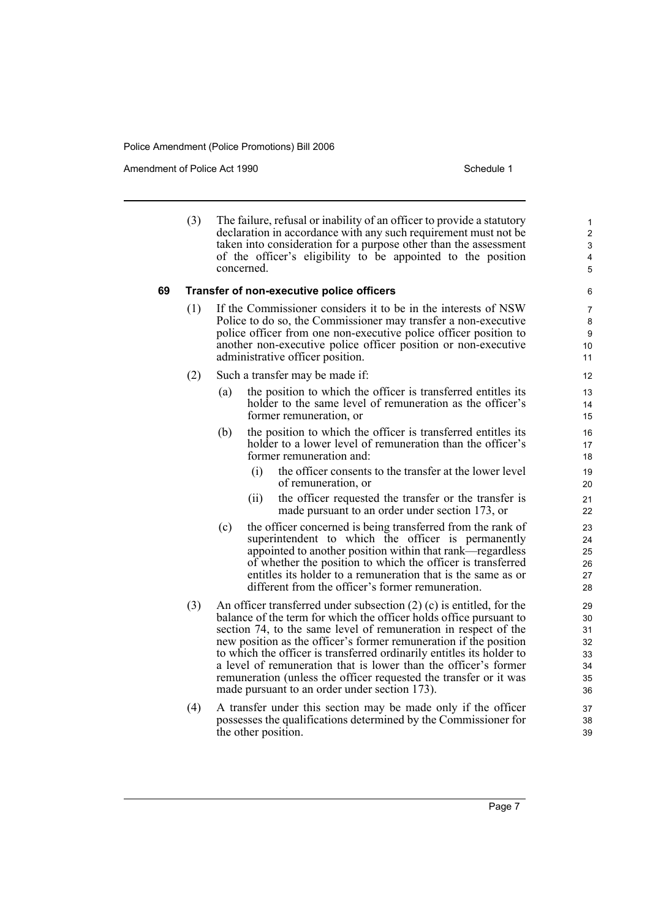Amendment of Police Act 1990 Schedule 1

|    | (3) |     | The failure, refusal or inability of an officer to provide a statutory<br>declaration in accordance with any such requirement must not be<br>taken into consideration for a purpose other than the assessment<br>of the officer's eligibility to be appointed to the position<br>concerned.                                                                                                                                                                                                                                                            | 1<br>2<br>3<br>$\overline{\mathbf{4}}$<br>5  |
|----|-----|-----|--------------------------------------------------------------------------------------------------------------------------------------------------------------------------------------------------------------------------------------------------------------------------------------------------------------------------------------------------------------------------------------------------------------------------------------------------------------------------------------------------------------------------------------------------------|----------------------------------------------|
| 69 |     |     | Transfer of non-executive police officers                                                                                                                                                                                                                                                                                                                                                                                                                                                                                                              | 6                                            |
|    | (1) |     | If the Commissioner considers it to be in the interests of NSW<br>Police to do so, the Commissioner may transfer a non-executive<br>police officer from one non-executive police officer position to<br>another non-executive police officer position or non-executive<br>administrative officer position.                                                                                                                                                                                                                                             | 7<br>8<br>9<br>10<br>11                      |
|    | (2) |     | Such a transfer may be made if:                                                                                                                                                                                                                                                                                                                                                                                                                                                                                                                        | 12                                           |
|    |     | (a) | the position to which the officer is transferred entitles its<br>holder to the same level of remuneration as the officer's<br>former remuneration, or                                                                                                                                                                                                                                                                                                                                                                                                  | 13<br>14<br>15                               |
|    |     | (b) | the position to which the officer is transferred entitles its<br>holder to a lower level of remuneration than the officer's<br>former remuneration and:                                                                                                                                                                                                                                                                                                                                                                                                | 16<br>17<br>18                               |
|    |     |     | (i)<br>the officer consents to the transfer at the lower level<br>of remuneration, or                                                                                                                                                                                                                                                                                                                                                                                                                                                                  | 19<br>20                                     |
|    |     |     | the officer requested the transfer or the transfer is<br>(11)<br>made pursuant to an order under section 173, or                                                                                                                                                                                                                                                                                                                                                                                                                                       | 21<br>22                                     |
|    |     | (c) | the officer concerned is being transferred from the rank of<br>superintendent to which the officer is permanently<br>appointed to another position within that rank—regardless<br>of whether the position to which the officer is transferred<br>entitles its holder to a remuneration that is the same as or<br>different from the officer's former remuneration.                                                                                                                                                                                     | 23<br>24<br>25<br>26<br>27<br>28             |
|    | (3) |     | An officer transferred under subsection $(2)$ (c) is entitled, for the<br>balance of the term for which the officer holds office pursuant to<br>section 74, to the same level of remuneration in respect of the<br>new position as the officer's former remuneration if the position<br>to which the officer is transferred ordinarily entitles its holder to<br>a level of remuneration that is lower than the officer's former<br>remuneration (unless the officer requested the transfer or it was<br>made pursuant to an order under section 173). | 29<br>30<br>31<br>32<br>33<br>34<br>35<br>36 |
|    | (4) |     | A transfer under this section may be made only if the officer<br>possesses the qualifications determined by the Commissioner for<br>the other position.                                                                                                                                                                                                                                                                                                                                                                                                | 37<br>38<br>39                               |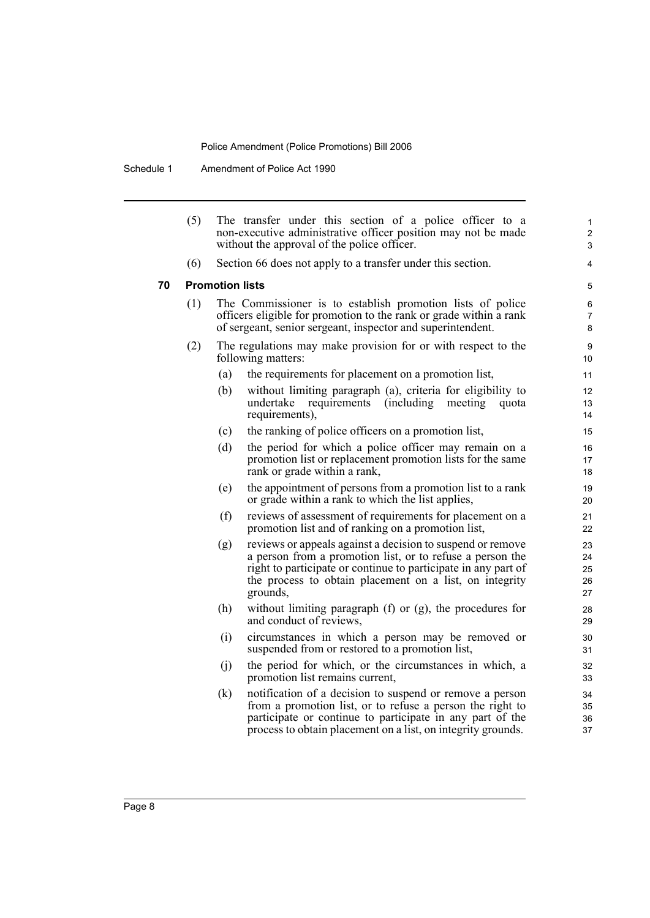Schedule 1 Amendment of Police Act 1990

|    | (5) |                        | The transfer under this section of a police officer to a<br>non-executive administrative officer position may not be made<br>without the approval of the police officer.                                                                                         | 1<br>$\overline{2}$<br>3      |
|----|-----|------------------------|------------------------------------------------------------------------------------------------------------------------------------------------------------------------------------------------------------------------------------------------------------------|-------------------------------|
|    | (6) |                        | Section 66 does not apply to a transfer under this section.                                                                                                                                                                                                      | 4                             |
| 70 |     | <b>Promotion lists</b> |                                                                                                                                                                                                                                                                  | 5                             |
|    | (1) |                        | The Commissioner is to establish promotion lists of police<br>officers eligible for promotion to the rank or grade within a rank<br>of sergeant, senior sergeant, inspector and superintendent.                                                                  | 6<br>7<br>8                   |
|    | (2) |                        | The regulations may make provision for or with respect to the<br>following matters:                                                                                                                                                                              | 9<br>10                       |
|    |     | (a)                    | the requirements for placement on a promotion list,                                                                                                                                                                                                              | 11                            |
|    |     | (b)                    | without limiting paragraph (a), criteria for eligibility to<br>undertake<br>requirements<br>(including)<br>meeting<br>quota<br>requirements),                                                                                                                    | $12 \overline{ }$<br>13<br>14 |
|    |     | (c)                    | the ranking of police officers on a promotion list,                                                                                                                                                                                                              | 15                            |
|    |     | (d)                    | the period for which a police officer may remain on a<br>promotion list or replacement promotion lists for the same<br>rank or grade within a rank,                                                                                                              | 16<br>17<br>18                |
|    |     | (e)                    | the appointment of persons from a promotion list to a rank<br>or grade within a rank to which the list applies,                                                                                                                                                  | 19<br>20                      |
|    |     | (f)                    | reviews of assessment of requirements for placement on a<br>promotion list and of ranking on a promotion list,                                                                                                                                                   | 21<br>22                      |
|    |     | (g)                    | reviews or appeals against a decision to suspend or remove<br>a person from a promotion list, or to refuse a person the<br>right to participate or continue to participate in any part of<br>the process to obtain placement on a list, on integrity<br>grounds, | 23<br>24<br>25<br>26<br>27    |
|    |     | (h)                    | without limiting paragraph $(f)$ or $(g)$ , the procedures for<br>and conduct of reviews,                                                                                                                                                                        | 28<br>29                      |
|    |     | (i)                    | circumstances in which a person may be removed or<br>suspended from or restored to a promotion list,                                                                                                                                                             | 30<br>31                      |
|    |     | (j)                    | the period for which, or the circumstances in which, a<br>promotion list remains current,                                                                                                                                                                        | 32<br>33                      |
|    |     | (k)                    | notification of a decision to suspend or remove a person<br>from a promotion list, or to refuse a person the right to<br>participate or continue to participate in any part of the<br>process to obtain placement on a list, on integrity grounds.               | 34<br>35<br>36<br>37          |
|    |     |                        |                                                                                                                                                                                                                                                                  |                               |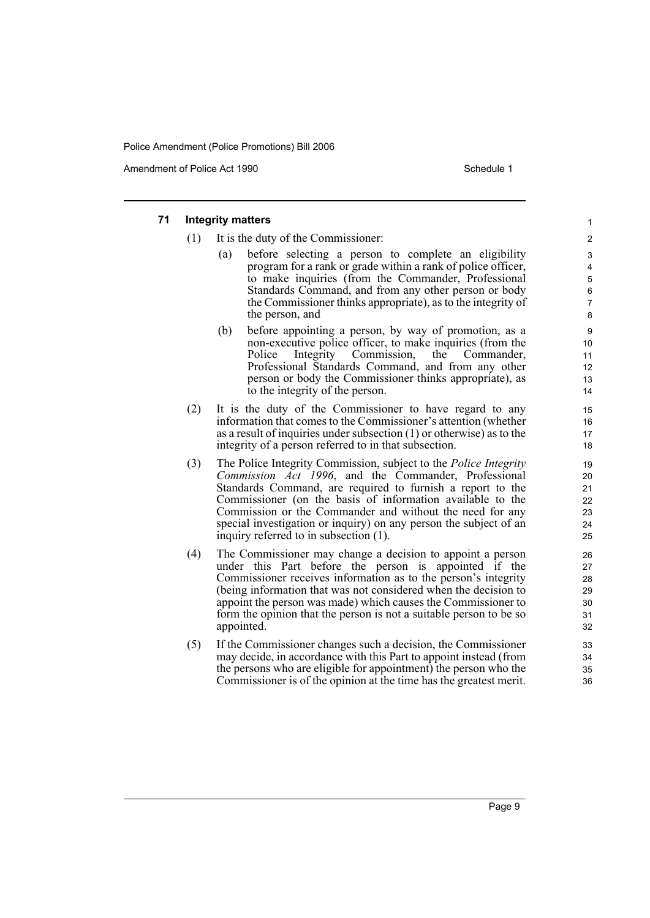Amendment of Police Act 1990 **Schedule 1** and the Schedule 1

#### **71 Integrity matters** (1) It is the duty of the Commissioner: (a) before selecting a person to complete an eligibility program for a rank or grade within a rank of police officer, to make inquiries (from the Commander, Professional Standards Command, and from any other person or body the Commissioner thinks appropriate), as to the integrity of the person, and (b) before appointing a person, by way of promotion, as a non-executive police officer, to make inquiries (from the Police Integrity Commission, the Commander, Professional Standards Command, and from any other person or body the Commissioner thinks appropriate), as to the integrity of the person. (2) It is the duty of the Commissioner to have regard to any information that comes to the Commissioner's attention (whether as a result of inquiries under subsection (1) or otherwise) as to the integrity of a person referred to in that subsection. (3) The Police Integrity Commission, subject to the *Police Integrity Commission Act 1996*, and the Commander, Professional Standards Command, are required to furnish a report to the Commissioner (on the basis of information available to the Commission or the Commander and without the need for any special investigation or inquiry) on any person the subject of an inquiry referred to in subsection (1). (4) The Commissioner may change a decision to appoint a person under this Part before the person is appointed if the Commissioner receives information as to the person's integrity (being information that was not considered when the decision to appoint the person was made) which causes the Commissioner to form the opinion that the person is not a suitable person to be so appointed. (5) If the Commissioner changes such a decision, the Commissioner may decide, in accordance with this Part to appoint instead (from the persons who are eligible for appointment) the person who the 1 2 3 4 5 6 7 8  $\overline{9}$ 10 11 12 13 14 15 16 17 18 19 20 21 22 23 24 25 26 27 28 29 30 31 32 33 34 35

Commissioner is of the opinion at the time has the greatest merit.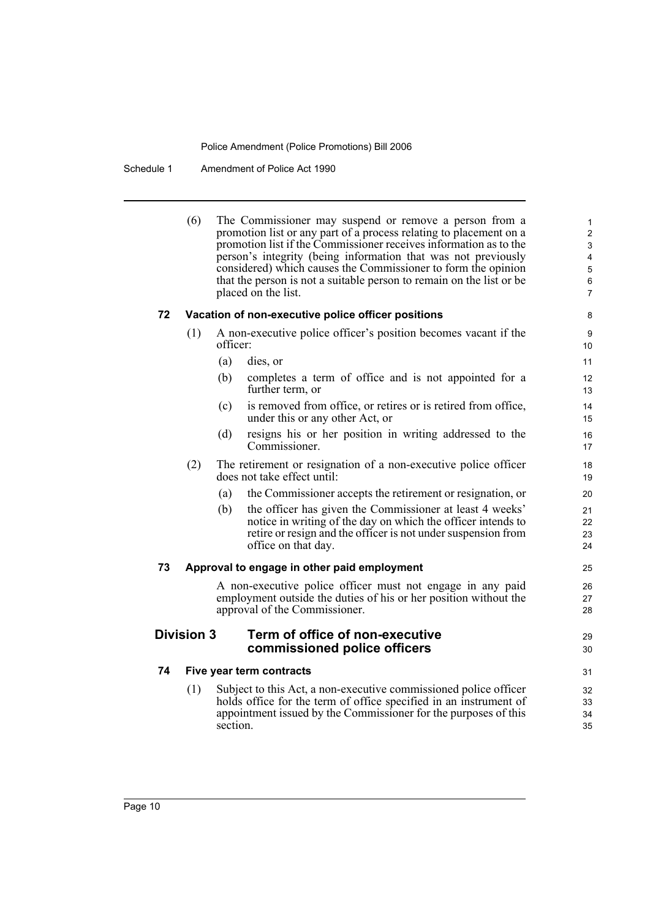Schedule 1 Amendment of Police Act 1990

|    | (6)               | The Commissioner may suspend or remove a person from a<br>promotion list or any part of a process relating to placement on a<br>promotion list if the Commissioner receives information as to the<br>person's integrity (being information that was not previously<br>considered) which causes the Commissioner to form the opinion<br>that the person is not a suitable person to remain on the list or be<br>placed on the list. | $\mathbf{1}$<br>$\mathbf{2}$<br>3<br>$\overline{\mathbf{4}}$<br>$\mathbf 5$<br>6<br>$\overline{7}$ |
|----|-------------------|------------------------------------------------------------------------------------------------------------------------------------------------------------------------------------------------------------------------------------------------------------------------------------------------------------------------------------------------------------------------------------------------------------------------------------|----------------------------------------------------------------------------------------------------|
| 72 |                   | Vacation of non-executive police officer positions                                                                                                                                                                                                                                                                                                                                                                                 | 8                                                                                                  |
|    | (1)               | A non-executive police officer's position becomes vacant if the<br>officer:                                                                                                                                                                                                                                                                                                                                                        | 9<br>10 <sup>1</sup>                                                                               |
|    |                   | (a)<br>dies, or                                                                                                                                                                                                                                                                                                                                                                                                                    | 11                                                                                                 |
|    |                   | (b)<br>completes a term of office and is not appointed for a<br>further term, or                                                                                                                                                                                                                                                                                                                                                   | 12<br>13                                                                                           |
|    |                   | is removed from office, or retires or is retired from office,<br>(c)<br>under this or any other Act, or                                                                                                                                                                                                                                                                                                                            | 14<br>15                                                                                           |
|    |                   | resigns his or her position in writing addressed to the<br>(d)<br>Commissioner.                                                                                                                                                                                                                                                                                                                                                    | 16<br>17                                                                                           |
|    | (2)               | The retirement or resignation of a non-executive police officer<br>does not take effect until:                                                                                                                                                                                                                                                                                                                                     | 18<br>19                                                                                           |
|    |                   | (a)<br>the Commissioner accepts the retirement or resignation, or                                                                                                                                                                                                                                                                                                                                                                  | 20                                                                                                 |
|    |                   | (b)<br>the officer has given the Commissioner at least 4 weeks'<br>notice in writing of the day on which the officer intends to<br>retire or resign and the officer is not under suspension from<br>office on that day.                                                                                                                                                                                                            | 21<br>22<br>23<br>24                                                                               |
| 73 |                   | Approval to engage in other paid employment                                                                                                                                                                                                                                                                                                                                                                                        | 25                                                                                                 |
|    |                   | A non-executive police officer must not engage in any paid<br>employment outside the duties of his or her position without the<br>approval of the Commissioner.                                                                                                                                                                                                                                                                    | 26<br>27<br>28                                                                                     |
|    | <b>Division 3</b> | Term of office of non-executive<br>commissioned police officers                                                                                                                                                                                                                                                                                                                                                                    | 29<br>30                                                                                           |
| 74 |                   | Five year term contracts                                                                                                                                                                                                                                                                                                                                                                                                           | 31                                                                                                 |
|    | (1)               | Subject to this Act, a non-executive commissioned police officer<br>holds office for the term of office specified in an instrument of<br>appointment issued by the Commissioner for the purposes of this<br>section.                                                                                                                                                                                                               | 32<br>33<br>34<br>35                                                                               |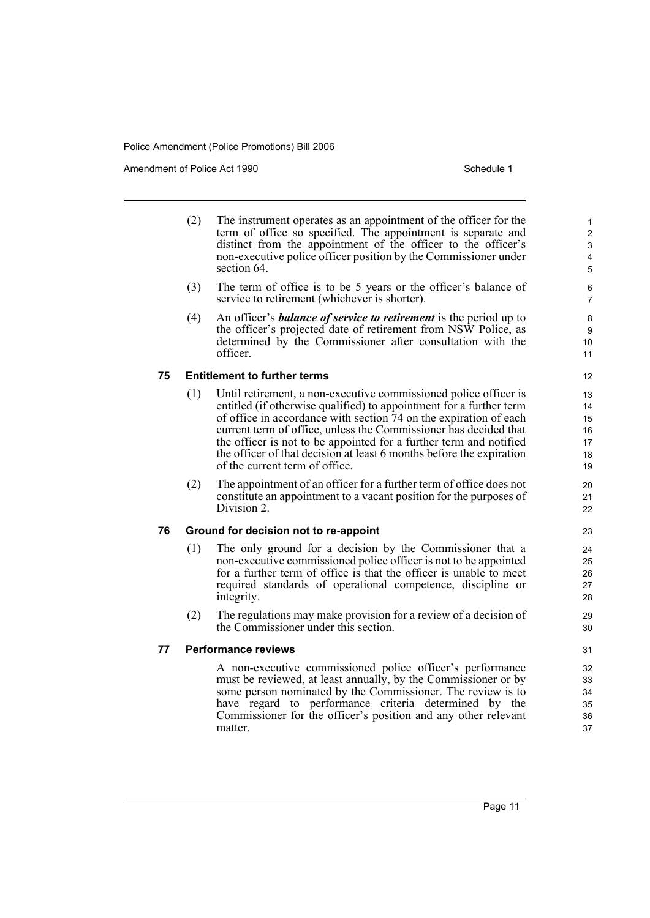Amendment of Police Act 1990 Schedule 1

|    | (2) | The instrument operates as an appointment of the officer for the<br>term of office so specified. The appointment is separate and<br>distinct from the appointment of the officer to the officer's<br>non-executive police officer position by the Commissioner under<br>section 64.                                                                                                                                                                              | $\mathbf{1}$<br>2<br>3<br>4<br>5       |
|----|-----|------------------------------------------------------------------------------------------------------------------------------------------------------------------------------------------------------------------------------------------------------------------------------------------------------------------------------------------------------------------------------------------------------------------------------------------------------------------|----------------------------------------|
|    | (3) | The term of office is to be 5 years or the officer's balance of<br>service to retirement (whichever is shorter).                                                                                                                                                                                                                                                                                                                                                 | 6<br>$\overline{7}$                    |
|    | (4) | An officer's <b>balance of service to retirement</b> is the period up to<br>the officer's projected date of retirement from NSW Police, as<br>determined by the Commissioner after consultation with the<br>officer.                                                                                                                                                                                                                                             | 8<br>9<br>10<br>11                     |
| 75 |     | <b>Entitlement to further terms</b>                                                                                                                                                                                                                                                                                                                                                                                                                              | 12                                     |
|    | (1) | Until retirement, a non-executive commissioned police officer is<br>entitled (if otherwise qualified) to appointment for a further term<br>of office in accordance with section 74 on the expiration of each<br>current term of office, unless the Commissioner has decided that<br>the officer is not to be appointed for a further term and notified<br>the officer of that decision at least 6 months before the expiration<br>of the current term of office. | 13<br>14<br>15<br>16<br>17<br>18<br>19 |
|    | (2) | The appointment of an officer for a further term of office does not<br>constitute an appointment to a vacant position for the purposes of<br>Division 2.                                                                                                                                                                                                                                                                                                         | 20<br>21<br>22                         |
| 76 |     | Ground for decision not to re-appoint                                                                                                                                                                                                                                                                                                                                                                                                                            | 23                                     |
|    | (1) | The only ground for a decision by the Commissioner that a<br>non-executive commissioned police officer is not to be appointed<br>for a further term of office is that the officer is unable to meet<br>required standards of operational competence, discipline or<br>integrity.                                                                                                                                                                                 | 24<br>25<br>26<br>27<br>28             |
|    | (2) | The regulations may make provision for a review of a decision of<br>the Commissioner under this section.                                                                                                                                                                                                                                                                                                                                                         | 29<br>30                               |
| 77 |     | <b>Performance reviews</b>                                                                                                                                                                                                                                                                                                                                                                                                                                       | 31                                     |
|    |     | A non-executive commissioned police officer's performance<br>must be reviewed, at least annually, by the Commissioner or by<br>some person nominated by the Commissioner. The review is to<br>have regard to performance criteria determined by the<br>Commissioner for the officer's position and any other relevant<br>matter.                                                                                                                                 | 32<br>33<br>34<br>35<br>36<br>37       |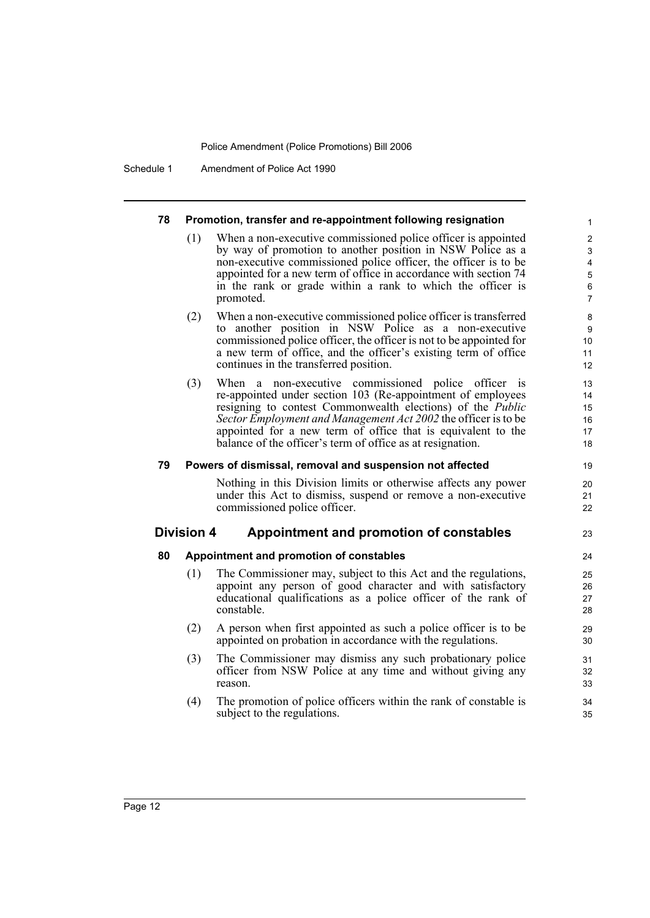Schedule 1 Amendment of Police Act 1990

#### **78 Promotion, transfer and re-appointment following resignation**

(1) When a non-executive commissioned police officer is appointed by way of promotion to another position in NSW Police as a non-executive commissioned police officer, the officer is to be appointed for a new term of office in accordance with section 74 in the rank or grade within a rank to which the officer is promoted.

23

- (2) When a non-executive commissioned police officer is transferred to another position in NSW Police as a non-executive commissioned police officer, the officer is not to be appointed for a new term of office, and the officer's existing term of office continues in the transferred position.
- (3) When a non-executive commissioned police officer is re-appointed under section 103 (Re-appointment of employees resigning to contest Commonwealth elections) of the *Public Sector Employment and Management Act 2002* the officer is to be appointed for a new term of office that is equivalent to the balance of the officer's term of office as at resignation.

#### **79 Powers of dismissal, removal and suspension not affected**

Nothing in this Division limits or otherwise affects any power under this Act to dismiss, suspend or remove a non-executive commissioned police officer.

#### **Division 4 Appointment and promotion of constables**

#### **80 Appointment and promotion of constables**

- (1) The Commissioner may, subject to this Act and the regulations, appoint any person of good character and with satisfactory educational qualifications as a police officer of the rank of constable.
- (2) A person when first appointed as such a police officer is to be appointed on probation in accordance with the regulations.
- (3) The Commissioner may dismiss any such probationary police officer from NSW Police at any time and without giving any reason.
- (4) The promotion of police officers within the rank of constable is subject to the regulations.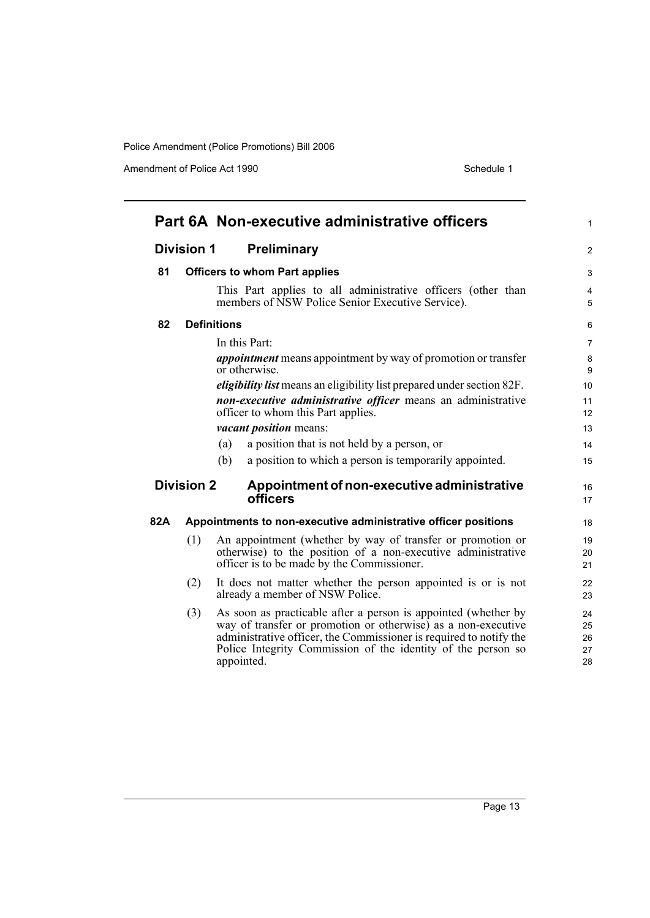Amendment of Police Act 1990 Schedule 1

|     |                   |                    | Part 6A Non-executive administrative officers                                                                                                                                                                                                                                       | 1                          |
|-----|-------------------|--------------------|-------------------------------------------------------------------------------------------------------------------------------------------------------------------------------------------------------------------------------------------------------------------------------------|----------------------------|
|     | <b>Division 1</b> |                    | <b>Preliminary</b>                                                                                                                                                                                                                                                                  | $\overline{2}$             |
| 81  |                   |                    | <b>Officers to whom Part applies</b>                                                                                                                                                                                                                                                | 3                          |
|     |                   |                    | This Part applies to all administrative officers (other than<br>members of $\tilde{N}SW$ Police Senior Executive Service).                                                                                                                                                          | 4<br>5                     |
| 82  |                   | <b>Definitions</b> |                                                                                                                                                                                                                                                                                     | 6                          |
|     |                   |                    | In this Part:                                                                                                                                                                                                                                                                       | $\overline{7}$             |
|     |                   |                    | <i>appointment</i> means appointment by way of promotion or transfer<br>or otherwise.                                                                                                                                                                                               | 8<br>9                     |
|     |                   |                    | <i>eligibility list</i> means an eligibility list prepared under section 82F.                                                                                                                                                                                                       | 10                         |
|     |                   |                    | non-executive administrative officer means an administrative<br>officer to whom this Part applies.                                                                                                                                                                                  | 11<br>12                   |
|     |                   |                    | <i>vacant position</i> means:                                                                                                                                                                                                                                                       | 13                         |
|     |                   | (a)                | a position that is not held by a person, or                                                                                                                                                                                                                                         | 14                         |
|     |                   | (b)                | a position to which a person is temporarily appointed.                                                                                                                                                                                                                              | 15                         |
|     | <b>Division 2</b> |                    | Appointment of non-executive administrative<br>officers                                                                                                                                                                                                                             | 16<br>17                   |
| 82A |                   |                    | Appointments to non-executive administrative officer positions                                                                                                                                                                                                                      | 18                         |
|     | (1)               |                    | An appointment (whether by way of transfer or promotion or                                                                                                                                                                                                                          | 19                         |
|     |                   |                    | otherwise) to the position of a non-executive administrative<br>officer is to be made by the Commissioner.                                                                                                                                                                          | 20<br>21                   |
|     | (2)               |                    | It does not matter whether the person appointed is or is not<br>already a member of NSW Police.                                                                                                                                                                                     | 22<br>23                   |
|     | (3)               |                    | As soon as practicable after a person is appointed (whether by<br>way of transfer or promotion or otherwise) as a non-executive<br>administrative officer, the Commissioner is required to notify the<br>Police Integrity Commission of the identity of the person so<br>appointed. | 24<br>25<br>26<br>27<br>28 |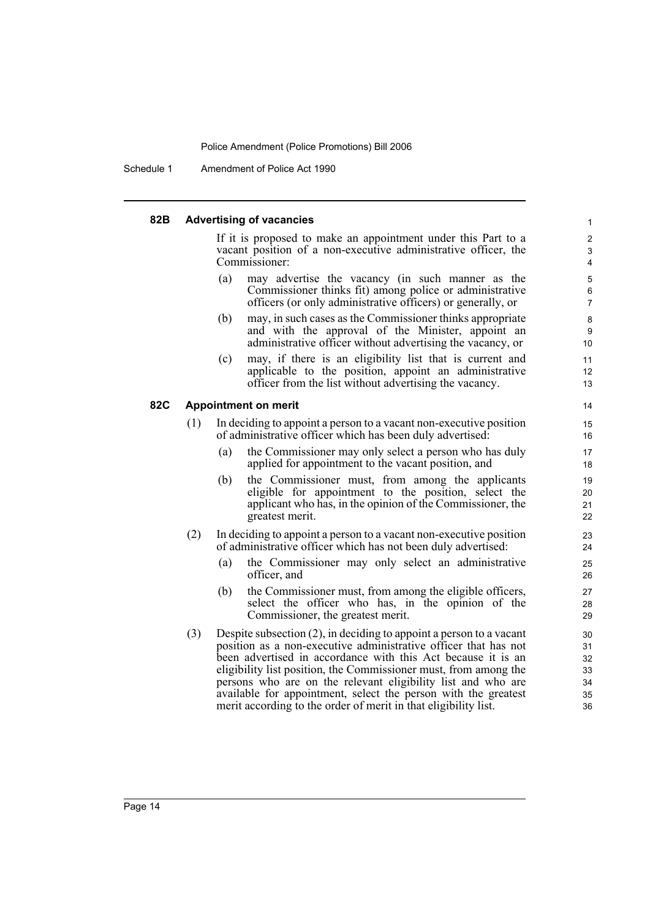Schedule 1 Amendment of Police Act 1990

#### **82B Advertising of vacancies** If it is proposed to make an appointment under this Part to a vacant position of a non-executive administrative officer, the Commissioner: (a) may advertise the vacancy (in such manner as the Commissioner thinks fit) among police or administrative officers (or only administrative officers) or generally, or (b) may, in such cases as the Commissioner thinks appropriate and with the approval of the Minister, appoint an administrative officer without advertising the vacancy, or (c) may, if there is an eligibility list that is current and applicable to the position, appoint an administrative officer from the list without advertising the vacancy. **82C Appointment on merit** (1) In deciding to appoint a person to a vacant non-executive position of administrative officer which has been duly advertised: (a) the Commissioner may only select a person who has duly applied for appointment to the vacant position, and (b) the Commissioner must, from among the applicants eligible for appointment to the position, select the applicant who has, in the opinion of the Commissioner, the greatest merit. (2) In deciding to appoint a person to a vacant non-executive position of administrative officer which has not been duly advertised: (a) the Commissioner may only select an administrative officer, and (b) the Commissioner must, from among the eligible officers, select the officer who has, in the opinion of the Commissioner, the greatest merit. (3) Despite subsection (2), in deciding to appoint a person to a vacant position as a non-executive administrative officer that has not been advertised in accordance with this Act because it is an eligibility list position, the Commissioner must, from among the persons who are on the relevant eligibility list and who are available for appointment, select the person with the greatest merit according to the order of merit in that eligibility list. 1 2 3 4 5 6 7 8 9 10 11 12 13 14 15 16 17 18 19  $20$ 21 22 23 24 25 26 27 28 29 30 31 32 33 34 35 36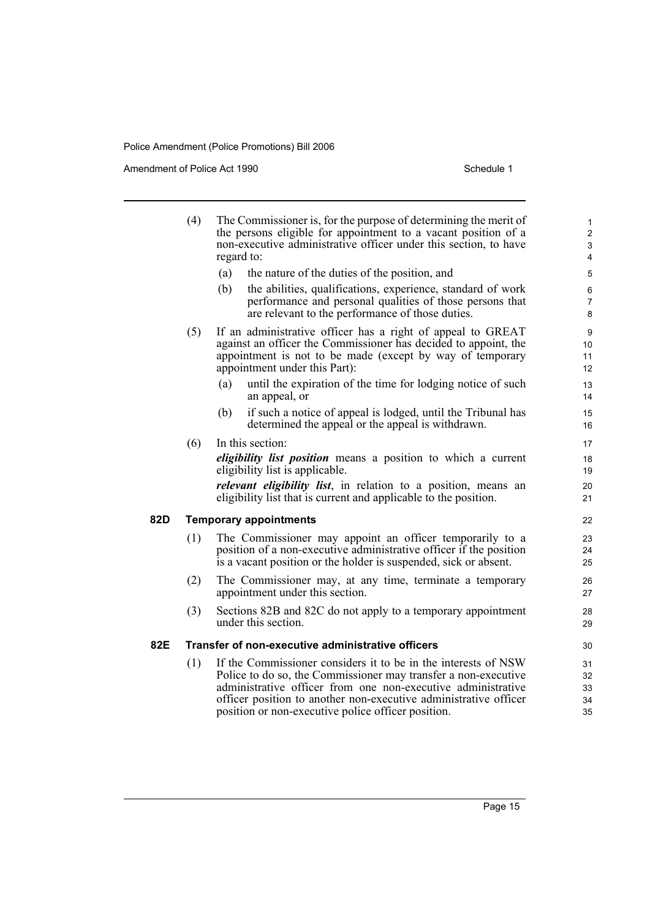Amendment of Police Act 1990 Schedule 1

**82D Temporary appointments**

|     | (4) | The Commissioner is, for the purpose of determining the merit of<br>the persons eligible for appointment to a vacant position of a<br>non-executive administrative officer under this section, to have<br>regard to:                                                                                                       | 1<br>$\overline{\mathbf{c}}$<br>3<br>4 |
|-----|-----|----------------------------------------------------------------------------------------------------------------------------------------------------------------------------------------------------------------------------------------------------------------------------------------------------------------------------|----------------------------------------|
|     |     | (a)<br>the nature of the duties of the position, and                                                                                                                                                                                                                                                                       | 5                                      |
|     |     | the abilities, qualifications, experience, standard of work<br>(b)<br>performance and personal qualities of those persons that<br>are relevant to the performance of those duties.                                                                                                                                         | 6<br>7<br>8                            |
|     | (5) | If an administrative officer has a right of appeal to GREAT<br>against an officer the Commissioner has decided to appoint, the<br>appointment is not to be made (except by way of temporary<br>appointment under this Part):                                                                                               | 9<br>10<br>11<br>12                    |
|     |     | until the expiration of the time for lodging notice of such<br>(a)<br>an appeal, or                                                                                                                                                                                                                                        | 13<br>14                               |
|     |     | if such a notice of appeal is lodged, until the Tribunal has<br>(b)<br>determined the appeal or the appeal is withdrawn.                                                                                                                                                                                                   | 15<br>16                               |
|     | (6) | In this section:                                                                                                                                                                                                                                                                                                           | 17                                     |
|     |     | <i>eligibility list position</i> means a position to which a current<br>eligibility list is applicable.                                                                                                                                                                                                                    | 18<br>19                               |
|     |     | <i>relevant eligibility list</i> , in relation to a position, means an<br>eligibility list that is current and applicable to the position.                                                                                                                                                                                 | 20<br>21                               |
| 82D |     | <b>Temporary appointments</b>                                                                                                                                                                                                                                                                                              | 22                                     |
|     | (1) | The Commissioner may appoint an officer temporarily to a<br>position of a non-executive administrative officer if the position<br>is a vacant position or the holder is suspended, sick or absent.                                                                                                                         | 23<br>24<br>25                         |
|     | (2) | The Commissioner may, at any time, terminate a temporary<br>appointment under this section.                                                                                                                                                                                                                                | 26<br>27                               |
|     | (3) | Sections 82B and 82C do not apply to a temporary appointment<br>under this section.                                                                                                                                                                                                                                        | 28<br>29                               |
| 82E |     | Transfer of non-executive administrative officers                                                                                                                                                                                                                                                                          | 30                                     |
|     | (1) | If the Commissioner considers it to be in the interests of NSW<br>Police to do so, the Commissioner may transfer a non-executive<br>administrative officer from one non-executive administrative<br>officer position to another non-executive administrative officer<br>position or non-executive police officer position. | 31<br>32<br>33<br>34<br>35             |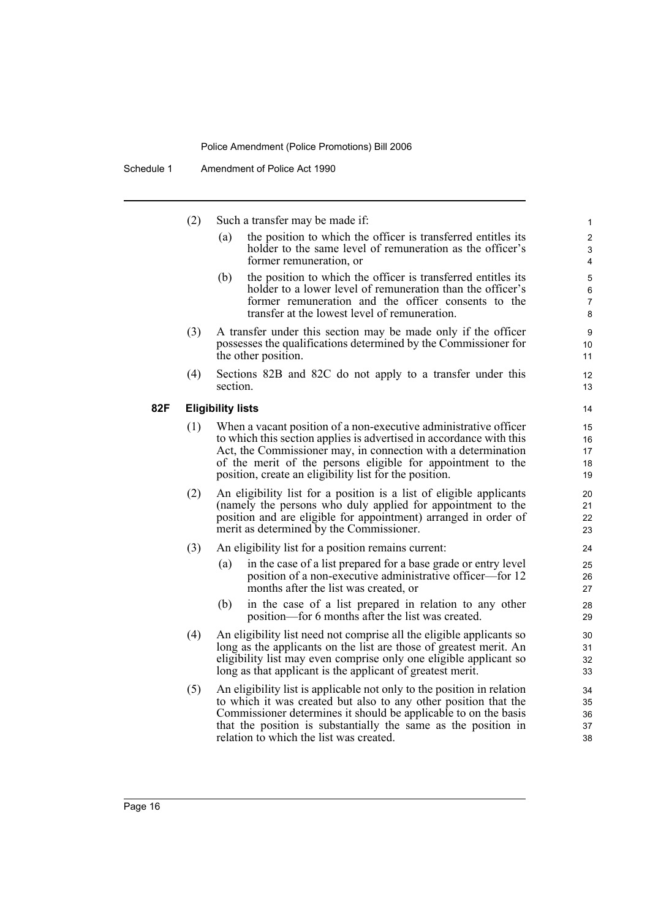(2) Such a transfer may be made if: (a) the position to which the officer is transferred entitles its holder to the same level of remuneration as the officer's former remuneration, or (b) the position to which the officer is transferred entitles its holder to a lower level of remuneration than the officer's former remuneration and the officer consents to the transfer at the lowest level of remuneration. (3) A transfer under this section may be made only if the officer possesses the qualifications determined by the Commissioner for the other position. (4) Sections 82B and 82C do not apply to a transfer under this section. **82F Eligibility lists** (1) When a vacant position of a non-executive administrative officer to which this section applies is advertised in accordance with this Act, the Commissioner may, in connection with a determination of the merit of the persons eligible for appointment to the position, create an eligibility list for the position. (2) An eligibility list for a position is a list of eligible applicants (namely the persons who duly applied for appointment to the position and are eligible for appointment) arranged in order of merit as determined by the Commissioner. (3) An eligibility list for a position remains current: (a) in the case of a list prepared for a base grade or entry level position of a non-executive administrative officer—for 12 months after the list was created, or (b) in the case of a list prepared in relation to any other position—for 6 months after the list was created. (4) An eligibility list need not comprise all the eligible applicants so long as the applicants on the list are those of greatest merit. An eligibility list may even comprise only one eligible applicant so long as that applicant is the applicant of greatest merit.

(5) An eligibility list is applicable not only to the position in relation to which it was created but also to any other position that the Commissioner determines it should be applicable to on the basis that the position is substantially the same as the position in relation to which the list was created.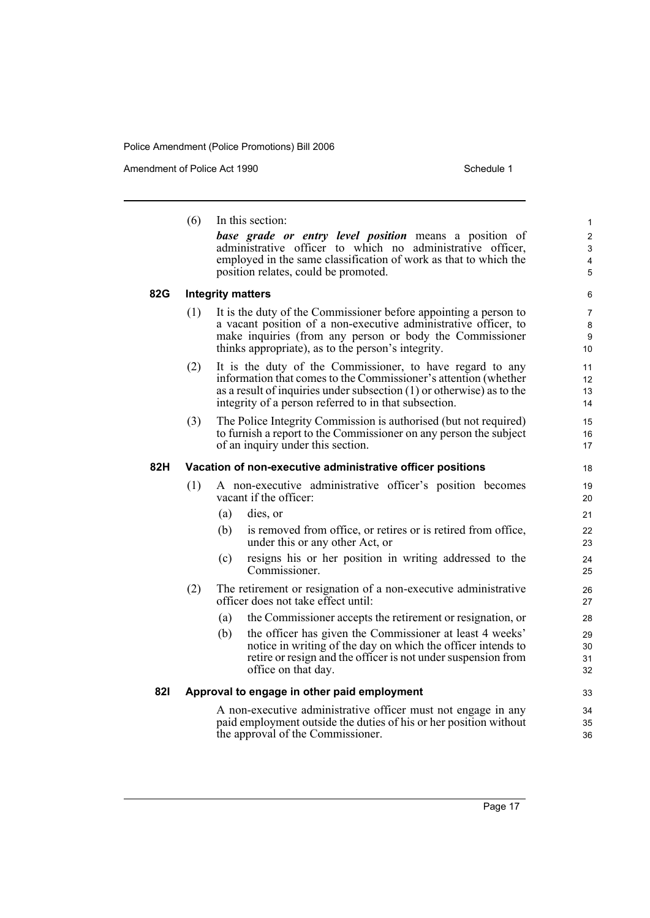Amendment of Police Act 1990 **Schedule 1** and the Schedule 1

(6) In this section: *base grade or entry level position* means a position of administrative officer to which no administrative officer, employed in the same classification of work as that to which the position relates, could be promoted. **82G Integrity matters** (1) It is the duty of the Commissioner before appointing a person to a vacant position of a non-executive administrative officer, to make inquiries (from any person or body the Commissioner thinks appropriate), as to the person's integrity. (2) It is the duty of the Commissioner, to have regard to any information that comes to the Commissioner's attention (whether as a result of inquiries under subsection (1) or otherwise) as to the integrity of a person referred to in that subsection. (3) The Police Integrity Commission is authorised (but not required) to furnish a report to the Commissioner on any person the subject of an inquiry under this section. **82H Vacation of non-executive administrative officer positions** (1) A non-executive administrative officer's position becomes vacant if the officer: (a) dies, or (b) is removed from office, or retires or is retired from office, under this or any other Act, or (c) resigns his or her position in writing addressed to the Commissioner. (2) The retirement or resignation of a non-executive administrative officer does not take effect until: (a) the Commissioner accepts the retirement or resignation, or (b) the officer has given the Commissioner at least 4 weeks' notice in writing of the day on which the officer intends to retire or resign and the officer is not under suspension from office on that day. **82I Approval to engage in other paid employment** A non-executive administrative officer must not engage in any paid employment outside the duties of his or her position without the approval of the Commissioner. 1  $\overline{2}$ 3 4 5 6 7 8 9 10 11 12 13 14 15 16 17 18 19  $20$ 21 22 23  $24$ 25 26 27 28 29 30 31 32 33 34 35 36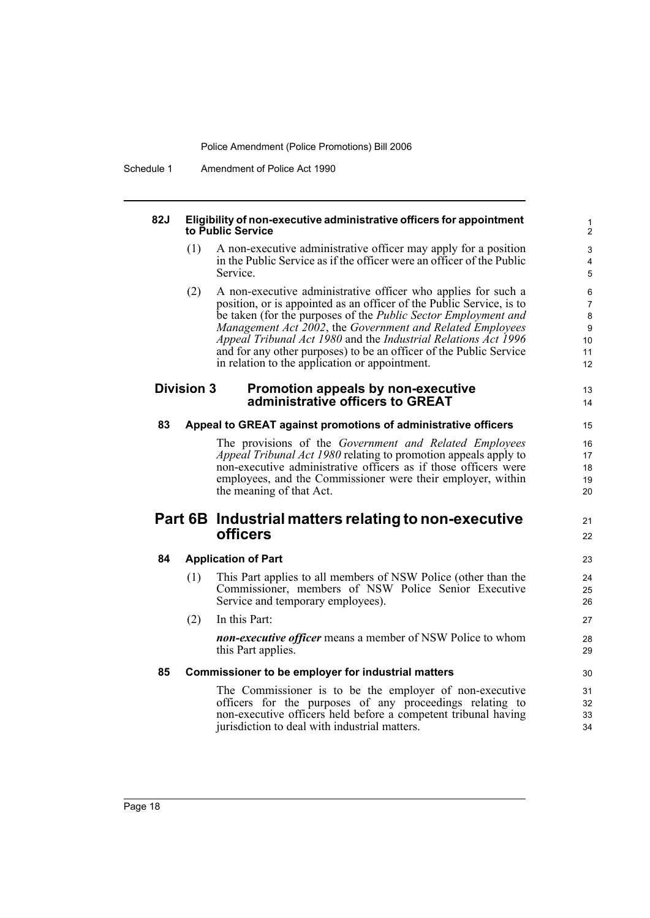| <b>82J</b> |                   | Eligibility of non-executive administrative officers for appointment<br>to Public Service                                                                                                                                                                                                                                                                                                                                                                             |  |
|------------|-------------------|-----------------------------------------------------------------------------------------------------------------------------------------------------------------------------------------------------------------------------------------------------------------------------------------------------------------------------------------------------------------------------------------------------------------------------------------------------------------------|--|
|            | (1)               | A non-executive administrative officer may apply for a position<br>in the Public Service as if the officer were an officer of the Public<br>Service:                                                                                                                                                                                                                                                                                                                  |  |
|            | (2)               | A non-executive administrative officer who applies for such a<br>position, or is appointed as an officer of the Public Service, is to<br>be taken (for the purposes of the <i>Public Sector Employment and</i><br>Management Act 2002, the Government and Related Employees<br>Appeal Tribunal Act 1980 and the Industrial Relations Act 1996<br>and for any other purposes) to be an officer of the Public Service<br>in relation to the application or appointment. |  |
|            | <b>Division 3</b> | Promotion appeals by non-executive<br>administrative officers to GREAT                                                                                                                                                                                                                                                                                                                                                                                                |  |
| 83         |                   | Appeal to GREAT against promotions of administrative officers                                                                                                                                                                                                                                                                                                                                                                                                         |  |
|            |                   | The provisions of the Government and Related Employees<br>Appeal Tribunal Act 1980 relating to promotion appeals apply to<br>non-executive administrative officers as if those officers were<br>employees, and the Commissioner were their employer, within<br>the meaning of that Act.                                                                                                                                                                               |  |
|            |                   | Part 6B Industrial matters relating to non-executive<br>officers                                                                                                                                                                                                                                                                                                                                                                                                      |  |
| 84         |                   | <b>Application of Part</b>                                                                                                                                                                                                                                                                                                                                                                                                                                            |  |
|            | (1)               | This Part applies to all members of NSW Police (other than the<br>Commissioner, members of NSW Police Senior Executive<br>Service and temporary employees).                                                                                                                                                                                                                                                                                                           |  |
|            | (2)               | In this Part:                                                                                                                                                                                                                                                                                                                                                                                                                                                         |  |
|            |                   | non-executive officer means a member of NSW Police to whom<br>this Part applies.                                                                                                                                                                                                                                                                                                                                                                                      |  |
| 85         |                   | Commissioner to be employer for industrial matters                                                                                                                                                                                                                                                                                                                                                                                                                    |  |
|            |                   | The Commissioner is to be the employer of non-executive<br>officers for the purposes of any proceedings relating to                                                                                                                                                                                                                                                                                                                                                   |  |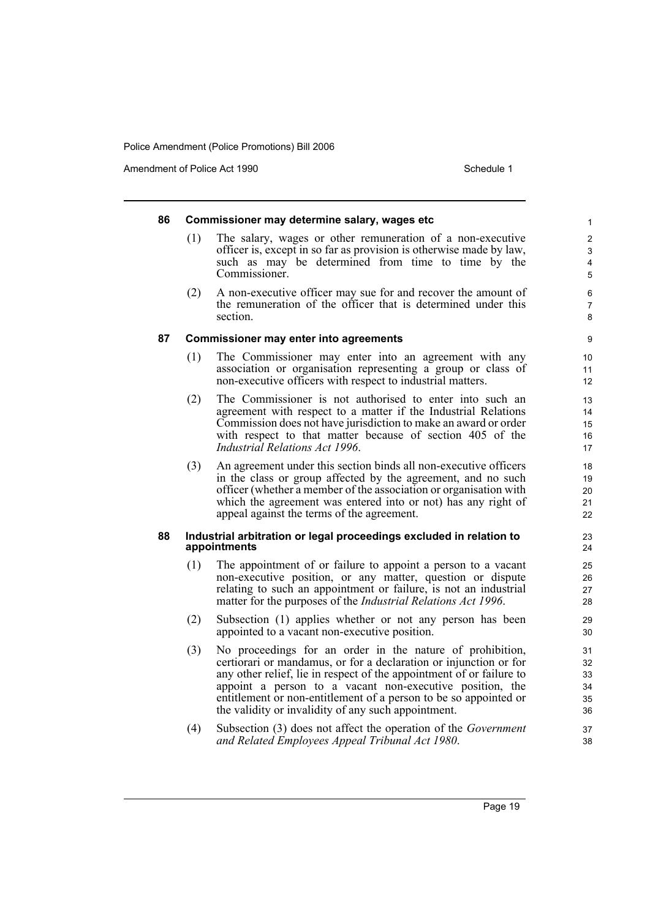Amendment of Police Act 1990 Schedule 1

| 86 |     | Commissioner may determine salary, wages etc                                                                                                                                                                                                                                                                                                                                                  | 1                                |
|----|-----|-----------------------------------------------------------------------------------------------------------------------------------------------------------------------------------------------------------------------------------------------------------------------------------------------------------------------------------------------------------------------------------------------|----------------------------------|
|    | (1) | The salary, wages or other remuneration of a non-executive<br>officer is, except in so far as provision is otherwise made by law,<br>such as may be determined from time to time by the<br>Commissioner.                                                                                                                                                                                      | $\overline{2}$<br>3<br>4<br>5    |
|    | (2) | A non-executive officer may sue for and recover the amount of<br>the remuneration of the officer that is determined under this<br>section.                                                                                                                                                                                                                                                    | 6<br>7<br>8                      |
| 87 |     | <b>Commissioner may enter into agreements</b>                                                                                                                                                                                                                                                                                                                                                 | 9                                |
|    | (1) | The Commissioner may enter into an agreement with any<br>association or organisation representing a group or class of<br>non-executive officers with respect to industrial matters.                                                                                                                                                                                                           | 10<br>11<br>12                   |
|    | (2) | The Commissioner is not authorised to enter into such an<br>agreement with respect to a matter if the Industrial Relations<br>Commission does not have jurisdiction to make an award or order<br>with respect to that matter because of section 405 of the<br>Industrial Relations Act 1996.                                                                                                  | 13<br>14<br>15<br>16<br>17       |
|    | (3) | An agreement under this section binds all non-executive officers<br>in the class or group affected by the agreement, and no such<br>officer (whether a member of the association or organisation with<br>which the agreement was entered into or not) has any right of<br>appeal against the terms of the agreement.                                                                          | 18<br>19<br>20<br>21<br>22       |
| 88 |     | Industrial arbitration or legal proceedings excluded in relation to<br>appointments                                                                                                                                                                                                                                                                                                           | 23<br>24                         |
|    | (1) | The appointment of or failure to appoint a person to a vacant<br>non-executive position, or any matter, question or dispute<br>relating to such an appointment or failure, is not an industrial<br>matter for the purposes of the Industrial Relations Act 1996.                                                                                                                              | 25<br>26<br>27<br>28             |
|    | (2) | Subsection (1) applies whether or not any person has been<br>appointed to a vacant non-executive position.                                                                                                                                                                                                                                                                                    | 29<br>30                         |
|    | (3) | No proceedings for an order in the nature of prohibition,<br>certiorari or mandamus, or for a declaration or injunction or for<br>any other relief, lie in respect of the appointment of or failure to<br>appoint a person to a vacant non-executive position, the<br>entitlement or non-entitlement of a person to be so appointed or<br>the validity or invalidity of any such appointment. | 31<br>32<br>33<br>34<br>35<br>36 |
|    | (4) | Subsection (3) does not affect the operation of the <i>Government</i><br>and Related Employees Appeal Tribunal Act 1980.                                                                                                                                                                                                                                                                      | 37<br>38                         |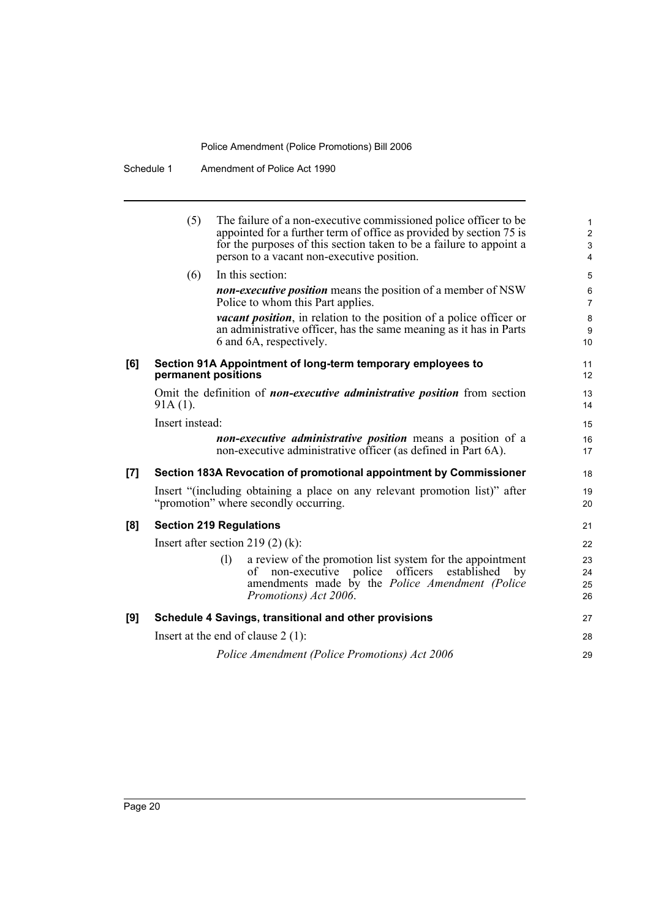Schedule 1 Amendment of Police Act 1990

|     | (5)                 | The failure of a non-executive commissioned police officer to be.<br>appointed for a further term of office as provided by section 75 is<br>for the purposes of this section taken to be a failure to appoint a<br>person to a vacant non-executive position. | 1<br>$\overline{c}$<br>3<br>4 |  |  |  |  |
|-----|---------------------|---------------------------------------------------------------------------------------------------------------------------------------------------------------------------------------------------------------------------------------------------------------|-------------------------------|--|--|--|--|
|     | (6)                 | In this section:                                                                                                                                                                                                                                              | 5                             |  |  |  |  |
|     |                     | <b>non-executive position</b> means the position of a member of NSW<br>Police to whom this Part applies.                                                                                                                                                      | 6<br>$\overline{7}$           |  |  |  |  |
|     |                     | <i>vacant position</i> , in relation to the position of a police officer or<br>an administrative officer, has the same meaning as it has in Parts<br>6 and 6A, respectively.                                                                                  | 8<br>9<br>10                  |  |  |  |  |
| [6] | permanent positions | Section 91A Appointment of long-term temporary employees to                                                                                                                                                                                                   | 11<br>12                      |  |  |  |  |
|     | $91A(1)$ .          | Omit the definition of <i>non-executive administrative position</i> from section                                                                                                                                                                              | 13<br>14                      |  |  |  |  |
|     | Insert instead:     |                                                                                                                                                                                                                                                               |                               |  |  |  |  |
|     |                     | non-executive administrative position means a position of a<br>non-executive administrative officer (as defined in Part 6A).                                                                                                                                  | 16<br>17                      |  |  |  |  |
| [7] |                     | Section 183A Revocation of promotional appointment by Commissioner                                                                                                                                                                                            | 18                            |  |  |  |  |
|     |                     | Insert "(including obtaining a place on any relevant promotion list)" after<br>"promotion" where secondly occurring.                                                                                                                                          | 19<br>20                      |  |  |  |  |
| [8] |                     | <b>Section 219 Regulations</b>                                                                                                                                                                                                                                | 21                            |  |  |  |  |
|     |                     | Insert after section 219 $(2)$ (k):                                                                                                                                                                                                                           | 22                            |  |  |  |  |
|     |                     | (l)<br>a review of the promotion list system for the appointment<br>non-executive police officers<br>of<br>established<br>by<br>amendments made by the Police Amendment (Police<br>Promotions) Act 2006.                                                      | 23<br>24<br>25<br>26          |  |  |  |  |
| [9] |                     | Schedule 4 Savings, transitional and other provisions                                                                                                                                                                                                         | 27                            |  |  |  |  |
|     |                     | Insert at the end of clause $2(1)$ :                                                                                                                                                                                                                          | 28                            |  |  |  |  |
|     |                     | Police Amendment (Police Promotions) Act 2006                                                                                                                                                                                                                 | 29                            |  |  |  |  |
|     |                     |                                                                                                                                                                                                                                                               |                               |  |  |  |  |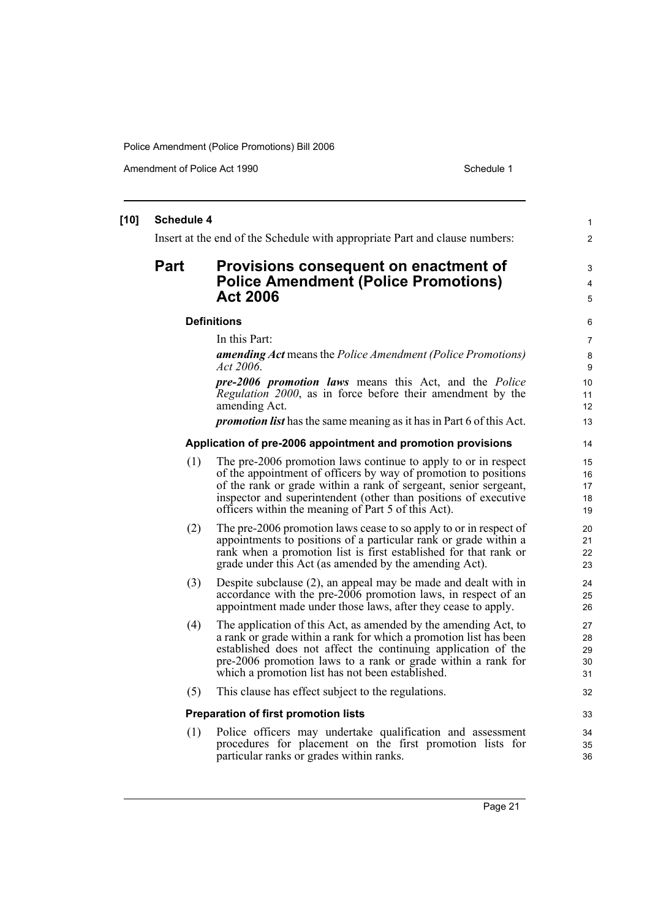Amendment of Police Act 1990 **Schedule 1** and the Schedule 1

#### **[10] Schedule 4** Insert at the end of the Schedule with appropriate Part and clause numbers: **Part Provisions consequent on enactment of Police Amendment (Police Promotions) Act 2006 Definitions** In this Part: *amending Act* means the *Police Amendment (Police Promotions) Act 2006*. *pre-2006 promotion laws* means this Act, and the *Police Regulation 2000*, as in force before their amendment by the amending Act. *promotion list* has the same meaning as it has in Part 6 of this Act. **Application of pre-2006 appointment and promotion provisions** (1) The pre-2006 promotion laws continue to apply to or in respect of the appointment of officers by way of promotion to positions of the rank or grade within a rank of sergeant, senior sergeant, inspector and superintendent (other than positions of executive officers within the meaning of Part 5 of this Act). (2) The pre-2006 promotion laws cease to so apply to or in respect of appointments to positions of a particular rank or grade within a rank when a promotion list is first established for that rank or grade under this Act (as amended by the amending Act). (3) Despite subclause (2), an appeal may be made and dealt with in accordance with the pre-2006 promotion laws, in respect of an appointment made under those laws, after they cease to apply. (4) The application of this Act, as amended by the amending Act, to a rank or grade within a rank for which a promotion list has been established does not affect the continuing application of the pre-2006 promotion laws to a rank or grade within a rank for which a promotion list has not been established. (5) This clause has effect subject to the regulations. **Preparation of first promotion lists** (1) Police officers may undertake qualification and assessment procedures for placement on the first promotion lists for particular ranks or grades within ranks. 1  $\mathfrak{p}$ 3 4 5 6 7 8 **9** 10 11 12 13 14 15 16 17 18 19 20 21 22 23  $24$ 25 26 27 28 29 30 31 32 33 34 35 36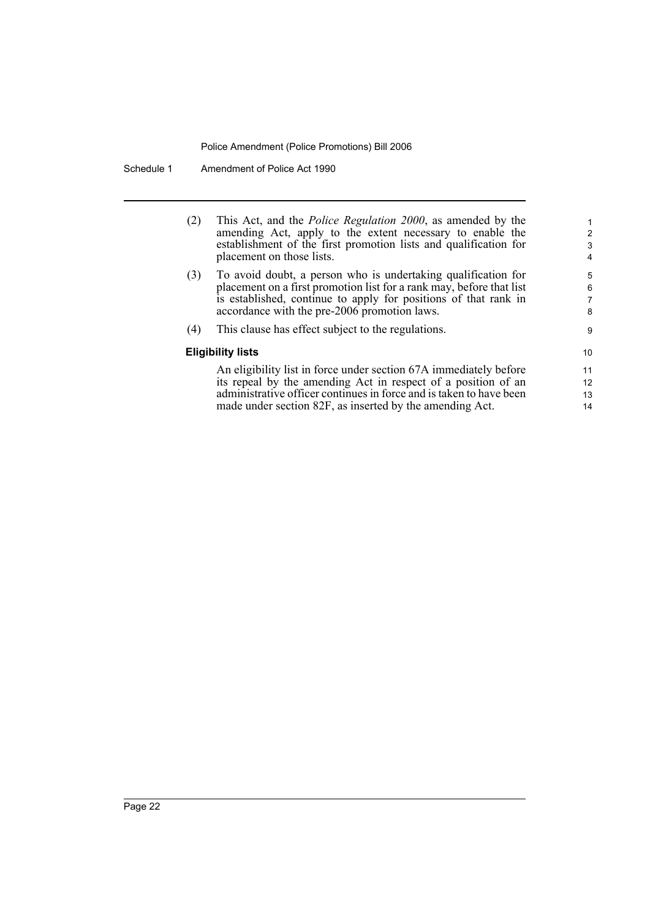Schedule 1 Amendment of Police Act 1990

| This Act, and the <i>Police Regulation 2000</i> , as amended by the | 1                                                                                                                                                                                                                                                                                                                                                                                                                                                                                                                                                                           |
|---------------------------------------------------------------------|-----------------------------------------------------------------------------------------------------------------------------------------------------------------------------------------------------------------------------------------------------------------------------------------------------------------------------------------------------------------------------------------------------------------------------------------------------------------------------------------------------------------------------------------------------------------------------|
|                                                                     | 2                                                                                                                                                                                                                                                                                                                                                                                                                                                                                                                                                                           |
|                                                                     | 3                                                                                                                                                                                                                                                                                                                                                                                                                                                                                                                                                                           |
| placement on those lists.                                           | 4                                                                                                                                                                                                                                                                                                                                                                                                                                                                                                                                                                           |
|                                                                     | 5                                                                                                                                                                                                                                                                                                                                                                                                                                                                                                                                                                           |
|                                                                     | 6                                                                                                                                                                                                                                                                                                                                                                                                                                                                                                                                                                           |
| is established, continue to apply for positions of that rank in     | 7                                                                                                                                                                                                                                                                                                                                                                                                                                                                                                                                                                           |
| accordance with the pre-2006 promotion laws.                        | 8                                                                                                                                                                                                                                                                                                                                                                                                                                                                                                                                                                           |
| This clause has effect subject to the regulations.                  | 9                                                                                                                                                                                                                                                                                                                                                                                                                                                                                                                                                                           |
|                                                                     | 10                                                                                                                                                                                                                                                                                                                                                                                                                                                                                                                                                                          |
|                                                                     | 11                                                                                                                                                                                                                                                                                                                                                                                                                                                                                                                                                                          |
|                                                                     | 12                                                                                                                                                                                                                                                                                                                                                                                                                                                                                                                                                                          |
|                                                                     | 13                                                                                                                                                                                                                                                                                                                                                                                                                                                                                                                                                                          |
|                                                                     | 14                                                                                                                                                                                                                                                                                                                                                                                                                                                                                                                                                                          |
|                                                                     | amending Act, apply to the extent necessary to enable the<br>establishment of the first promotion lists and qualification for<br>To avoid doubt, a person who is undertaking qualification for<br>placement on a first promotion list for a rank may, before that list<br><b>Eligibility lists</b><br>An eligibility list in force under section 67A immediately before<br>its repeal by the amending Act in respect of a position of an<br>administrative officer continues in force and is taken to have been<br>made under section 82F, as inserted by the amending Act. |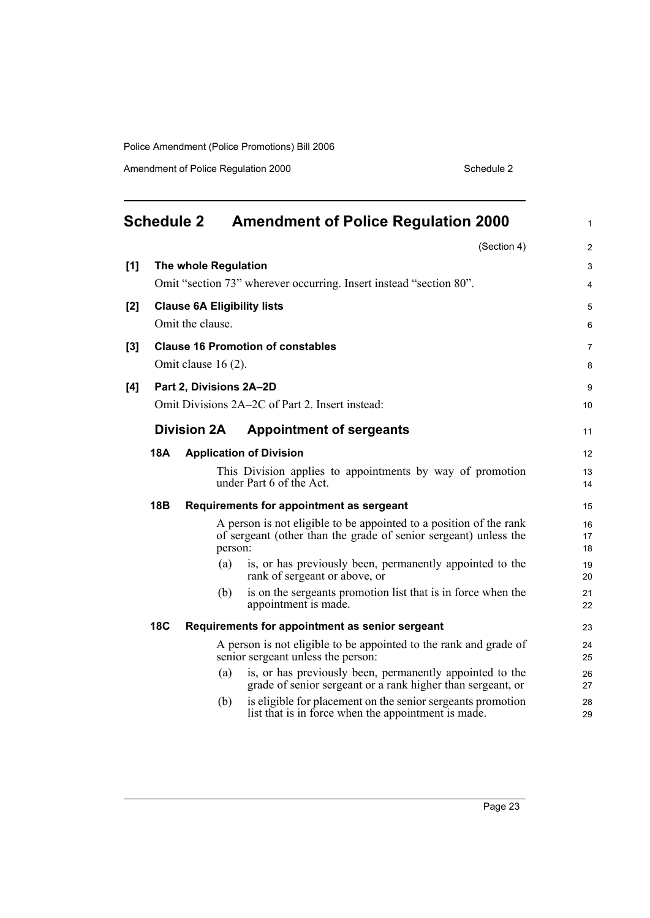Amendment of Police Regulation 2000 Schedule 2

<span id="page-30-0"></span>

|       | <b>Schedule 2</b> |                                    | <b>Amendment of Police Regulation 2000</b>                                                                                             | 1              |
|-------|-------------------|------------------------------------|----------------------------------------------------------------------------------------------------------------------------------------|----------------|
|       |                   |                                    | (Section 4)                                                                                                                            | $\overline{c}$ |
| [1]   |                   | The whole Regulation               |                                                                                                                                        | 3              |
|       |                   |                                    | Omit "section 73" wherever occurring. Insert instead "section 80".                                                                     | 4              |
| [2]   |                   | <b>Clause 6A Eligibility lists</b> |                                                                                                                                        | 5              |
|       |                   | Omit the clause.                   |                                                                                                                                        | 6              |
| $[3]$ |                   |                                    | <b>Clause 16 Promotion of constables</b>                                                                                               | 7              |
|       |                   | Omit clause $16(2)$ .              |                                                                                                                                        | 8              |
| [4]   |                   | Part 2, Divisions 2A-2D            |                                                                                                                                        | 9              |
|       |                   |                                    | Omit Divisions 2A–2C of Part 2. Insert instead:                                                                                        | 10             |
|       |                   | <b>Division 2A</b>                 | <b>Appointment of sergeants</b>                                                                                                        | 11             |
|       | <b>18A</b>        |                                    | <b>Application of Division</b>                                                                                                         | 12             |
|       |                   |                                    | This Division applies to appointments by way of promotion<br>under Part 6 of the Act.                                                  | 13<br>14       |
|       | 18B               |                                    | Requirements for appointment as sergeant                                                                                               | 15             |
|       |                   | person:                            | A person is not eligible to be appointed to a position of the rank<br>of sergeant (other than the grade of senior sergeant) unless the | 16<br>17<br>18 |
|       |                   | (a)                                | is, or has previously been, permanently appointed to the<br>rank of sergeant or above, or                                              | 19<br>20       |
|       |                   | (b)                                | is on the sergeants promotion list that is in force when the<br>appointment is made.                                                   | 21<br>22       |
|       | <b>18C</b>        |                                    | Requirements for appointment as senior sergeant                                                                                        | 23             |
|       |                   |                                    | A person is not eligible to be appointed to the rank and grade of<br>senior sergeant unless the person:                                | 24<br>25       |
|       |                   | (a)                                | is, or has previously been, permanently appointed to the<br>grade of senior sergeant or a rank higher than sergeant, or                | 26<br>27       |
|       |                   | (b)                                | is eligible for placement on the senior sergeants promotion<br>list that is in force when the appointment is made.                     | 28<br>29       |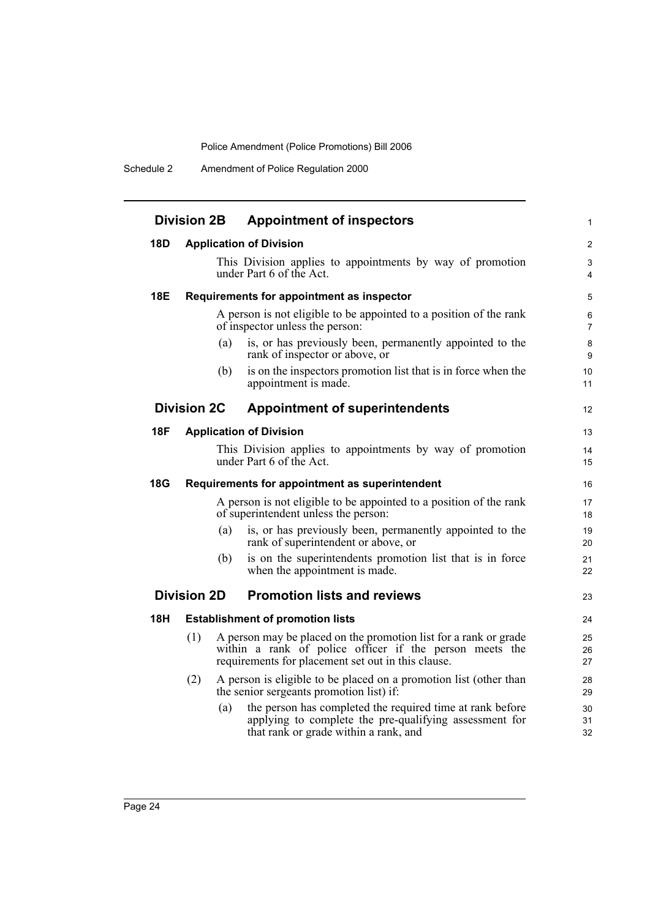Schedule 2 Amendment of Police Regulation 2000

| <b>Division 2B</b> |                    |     | <b>Appointment of inspectors</b>                                                                                                                                                  |                       |  |  |  |
|--------------------|--------------------|-----|-----------------------------------------------------------------------------------------------------------------------------------------------------------------------------------|-----------------------|--|--|--|
| <b>18D</b>         |                    |     | <b>Application of Division</b>                                                                                                                                                    |                       |  |  |  |
|                    |                    |     | This Division applies to appointments by way of promotion<br>under Part 6 of the Act.                                                                                             |                       |  |  |  |
| <b>18E</b>         |                    |     | Requirements for appointment as inspector                                                                                                                                         |                       |  |  |  |
|                    |                    |     | A person is not eligible to be appointed to a position of the rank<br>of inspector unless the person:                                                                             |                       |  |  |  |
|                    |                    | (a) | is, or has previously been, permanently appointed to the<br>rank of inspector or above, or                                                                                        |                       |  |  |  |
|                    |                    | (b) | is on the inspectors promotion list that is in force when the<br>appointment is made.                                                                                             | 10 <sup>1</sup><br>11 |  |  |  |
|                    | <b>Division 2C</b> |     | <b>Appointment of superintendents</b>                                                                                                                                             | 12                    |  |  |  |
| <b>18F</b>         |                    |     | <b>Application of Division</b>                                                                                                                                                    | 13                    |  |  |  |
|                    |                    |     | This Division applies to appointments by way of promotion<br>under Part 6 of the Act.                                                                                             | 14<br>15              |  |  |  |
| 18G                |                    |     | Requirements for appointment as superintendent                                                                                                                                    | 16                    |  |  |  |
|                    |                    |     | A person is not eligible to be appointed to a position of the rank<br>of superintendent unless the person:                                                                        | 17<br>18              |  |  |  |
|                    |                    | (a) | is, or has previously been, permanently appointed to the<br>rank of superintendent or above, or                                                                                   | 19<br>20              |  |  |  |
|                    |                    | (b) | is on the superintendents promotion list that is in force<br>when the appointment is made.                                                                                        | 21<br>22              |  |  |  |
|                    | <b>Division 2D</b> |     | <b>Promotion lists and reviews</b>                                                                                                                                                | 23                    |  |  |  |
| <b>18H</b>         |                    |     | <b>Establishment of promotion lists</b>                                                                                                                                           | 24                    |  |  |  |
|                    | (1)                |     | A person may be placed on the promotion list for a rank or grade<br>within a rank of police officer if the person meets the<br>requirements for placement set out in this clause. | 25<br>26<br>27        |  |  |  |
|                    |                    |     | A person is eligible to be placed on a promotion list (other than                                                                                                                 |                       |  |  |  |
|                    | (2)                |     | the senior sergeants promotion list) if:                                                                                                                                          | 29                    |  |  |  |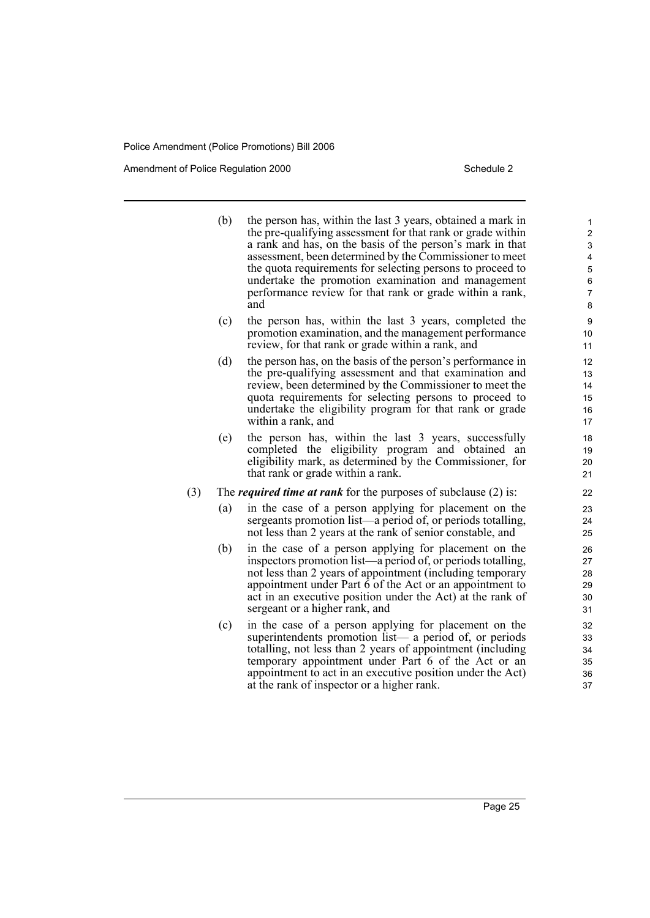Amendment of Police Regulation 2000 Schedule 2

- (b) the person has, within the last 3 years, obtained a mark in the pre-qualifying assessment for that rank or grade within a rank and has, on the basis of the person's mark in that assessment, been determined by the Commissioner to meet the quota requirements for selecting persons to proceed to undertake the promotion examination and management performance review for that rank or grade within a rank, and
- (c) the person has, within the last 3 years, completed the promotion examination, and the management performance review, for that rank or grade within a rank, and
- (d) the person has, on the basis of the person's performance in the pre-qualifying assessment and that examination and review, been determined by the Commissioner to meet the quota requirements for selecting persons to proceed to undertake the eligibility program for that rank or grade within a rank, and
- (e) the person has, within the last 3 years, successfully completed the eligibility program and obtained an eligibility mark, as determined by the Commissioner, for that rank or grade within a rank.
- (3) The *required time at rank* for the purposes of subclause (2) is:
	- (a) in the case of a person applying for placement on the sergeants promotion list—a period of, or periods totalling, not less than 2 years at the rank of senior constable, and
	- (b) in the case of a person applying for placement on the inspectors promotion list—a period of, or periods totalling, not less than 2 years of appointment (including temporary appointment under Part 6 of the Act or an appointment to act in an executive position under the Act) at the rank of sergeant or a higher rank, and
	- (c) in the case of a person applying for placement on the superintendents promotion list— a period of, or periods totalling, not less than 2 years of appointment (including temporary appointment under Part 6 of the Act or an appointment to act in an executive position under the Act) at the rank of inspector or a higher rank.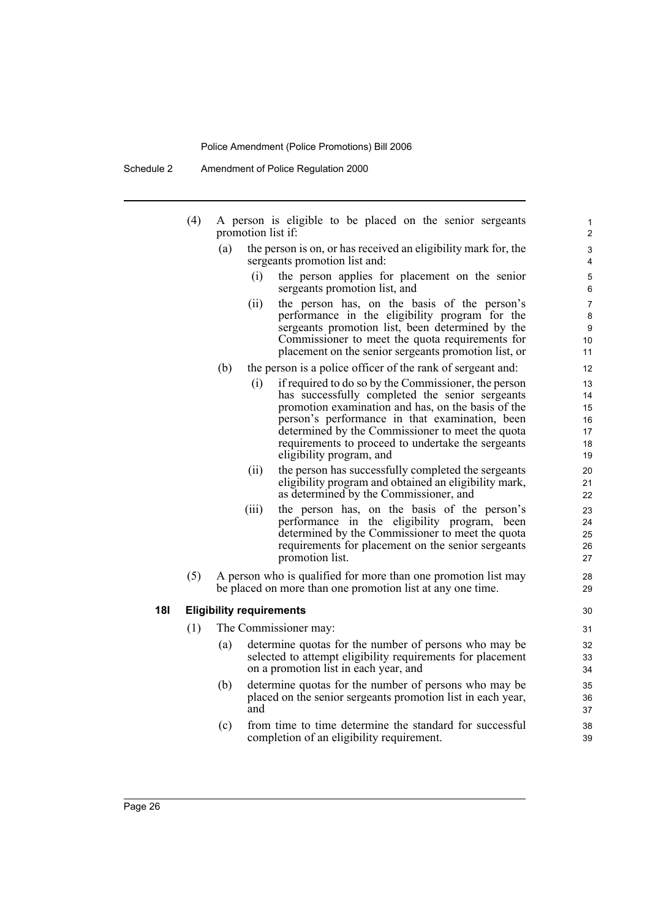|  |                    | (4) A person is eligible to be placed on the senior sergeants |  |  |  |  |  |  |
|--|--------------------|---------------------------------------------------------------|--|--|--|--|--|--|
|  | promotion list if: |                                                               |  |  |  |  |  |  |
|  |                    |                                                               |  |  |  |  |  |  |

- (a) the person is on, or has received an eligibility mark for, the sergeants promotion list and:
	- (i) the person applies for placement on the senior sergeants promotion list, and

- (ii) the person has, on the basis of the person's performance in the eligibility program for the sergeants promotion list, been determined by the Commissioner to meet the quota requirements for placement on the senior sergeants promotion list, or
- (b) the person is a police officer of the rank of sergeant and:
	- (i) if required to do so by the Commissioner, the person has successfully completed the senior sergeants promotion examination and has, on the basis of the person's performance in that examination, been determined by the Commissioner to meet the quota requirements to proceed to undertake the sergeants eligibility program, and
	- (ii) the person has successfully completed the sergeants eligibility program and obtained an eligibility mark, as determined by the Commissioner, and
	- (iii) the person has, on the basis of the person's performance in the eligibility program, been determined by the Commissioner to meet the quota requirements for placement on the senior sergeants promotion list.
- (5) A person who is qualified for more than one promotion list may be placed on more than one promotion list at any one time.

#### **18I Eligibility requirements**

(1) The Commissioner may:

- (a) determine quotas for the number of persons who may be selected to attempt eligibility requirements for placement on a promotion list in each year, and
- (b) determine quotas for the number of persons who may be placed on the senior sergeants promotion list in each year, and
- (c) from time to time determine the standard for successful completion of an eligibility requirement.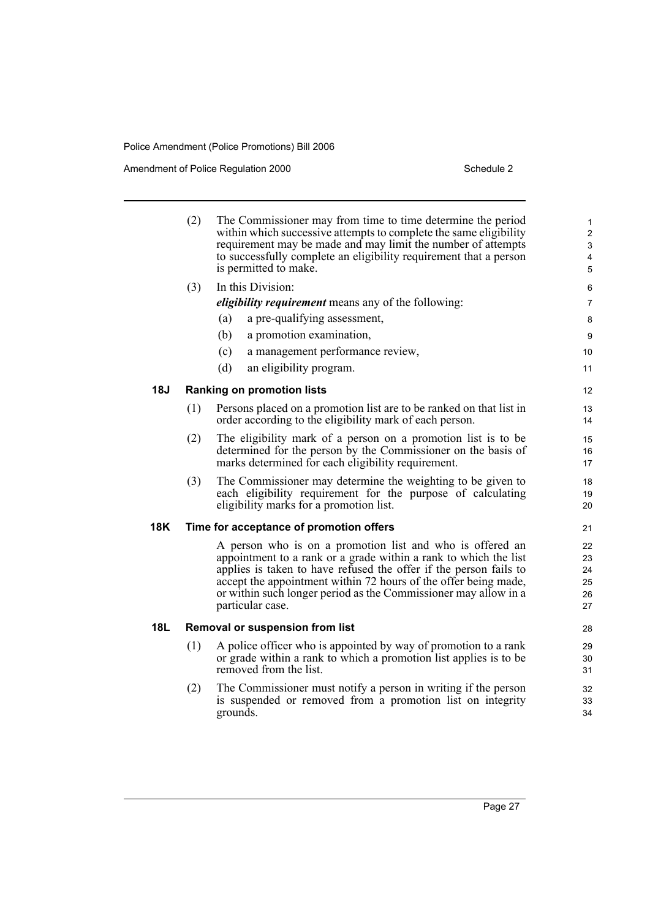Amendment of Police Regulation 2000 Schedule 2

|     | (2) | The Commissioner may from time to time determine the period<br>within which successive attempts to complete the same eligibility<br>requirement may be made and may limit the number of attempts<br>to successfully complete an eligibility requirement that a person<br>is permitted to make.                                                               | $\mathbf{1}$<br>$\overline{c}$<br>3<br>4<br>5 |
|-----|-----|--------------------------------------------------------------------------------------------------------------------------------------------------------------------------------------------------------------------------------------------------------------------------------------------------------------------------------------------------------------|-----------------------------------------------|
|     | (3) | In this Division:                                                                                                                                                                                                                                                                                                                                            | 6                                             |
|     |     | <i>eligibility requirement</i> means any of the following:                                                                                                                                                                                                                                                                                                   | $\overline{7}$                                |
|     |     | (a)<br>a pre-qualifying assessment,                                                                                                                                                                                                                                                                                                                          | 8                                             |
|     |     | (b)<br>a promotion examination,                                                                                                                                                                                                                                                                                                                              | 9                                             |
|     |     | a management performance review,<br>(c)                                                                                                                                                                                                                                                                                                                      | 10                                            |
|     |     | (d)<br>an eligibility program.                                                                                                                                                                                                                                                                                                                               | 11                                            |
| 18J |     | <b>Ranking on promotion lists</b>                                                                                                                                                                                                                                                                                                                            | 12                                            |
|     | (1) | Persons placed on a promotion list are to be ranked on that list in<br>order according to the eligibility mark of each person.                                                                                                                                                                                                                               | 13<br>14                                      |
|     | (2) | The eligibility mark of a person on a promotion list is to be<br>determined for the person by the Commissioner on the basis of<br>marks determined for each eligibility requirement.                                                                                                                                                                         | 15<br>16<br>17                                |
|     | (3) | The Commissioner may determine the weighting to be given to<br>each eligibility requirement for the purpose of calculating<br>eligibility marks for a promotion list.                                                                                                                                                                                        | 18<br>19<br>20                                |
| 18K |     | Time for acceptance of promotion offers                                                                                                                                                                                                                                                                                                                      | 21                                            |
|     |     | A person who is on a promotion list and who is offered an<br>appointment to a rank or a grade within a rank to which the list<br>applies is taken to have refused the offer if the person fails to<br>accept the appointment within 72 hours of the offer being made,<br>or within such longer period as the Commissioner may allow in a<br>particular case. | 22<br>23<br>24<br>25<br>26<br>27              |
| 18L |     | <b>Removal or suspension from list</b>                                                                                                                                                                                                                                                                                                                       | 28                                            |
|     | (1) | A police officer who is appointed by way of promotion to a rank<br>or grade within a rank to which a promotion list applies is to be<br>removed from the list.                                                                                                                                                                                               | 29<br>30<br>31                                |
|     | (2) | The Commissioner must notify a person in writing if the person<br>is suspended or removed from a promotion list on integrity<br>grounds.                                                                                                                                                                                                                     | 32<br>33<br>34                                |
|     |     |                                                                                                                                                                                                                                                                                                                                                              |                                               |